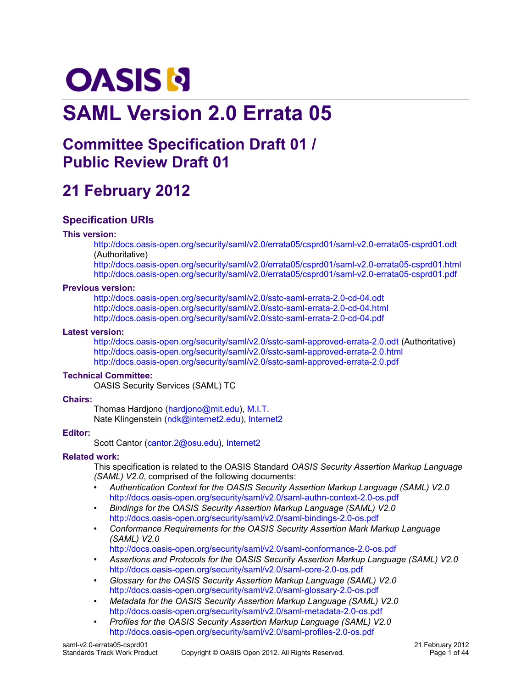# **OASIS N**

# **SAML Version 2.0 Errata 05**

# **Committee Specification Draft 01 / Public Review Draft 01**

# **21 February 2012**

### **Specification URIs**

### **This version:**

<http://docs.oasis-open.org/security/saml/v2.0/errata05/csprd01/saml-v2.0-errata05-csprd01.odt> (Authoritative)

<http://docs.oasis-open.org/security/saml/v2.0/errata05/csprd01/saml-v2.0-errata05-csprd01.html> <http://docs.oasis-open.org/security/saml/v2.0/errata05/csprd01/saml-v2.0-errata05-csprd01.pdf>

### **Previous version:**

<http://docs.oasis-open.org/security/saml/v2.0/sstc-saml-errata-2.0-cd-04.odt> <http://docs.oasis-open.org/security/saml/v2.0/sstc-saml-errata-2.0-cd-04.html> <http://docs.oasis-open.org/security/saml/v2.0/sstc-saml-errata-2.0-cd-04.pdf>

### **Latest version:**

<http://docs.oasis-open.org/security/saml/v2.0/sstc-saml-approved-errata-2.0.odt>(Authoritative) <http://docs.oasis-open.org/security/saml/v2.0/sstc-saml-approved-errata-2.0.html> <http://docs.oasis-open.org/security/saml/v2.0/sstc-saml-approved-errata-2.0.pdf>

### **Technical Committee:**

[OASIS Security Services \(SAML\) TC](http://www.oasis-open.org/committees/security/)

### **Chairs:**

Thomas Hardjono [\(hardjono@mit.edu\)](mailto:hardjono@mit.edu), [M.I.T.](http://www.mit.edu/) Nate Klingenstein [\(ndk@internet2.edu\)](mailto:ndk@internet2.edu), [Internet2](http://www.internet2.edu/)

### **Editor:**

Scott Cantor [\(cantor.2@osu.edu\)](mailto:cantor.2@osu.edu), [Internet2](http://www.internet2.edu/)

### **Related work:**

This specification is related to the OASIS Standard *OASIS Security Assertion Markup Language (SAML) V2.0*, comprised of the following documents:

- *Authentication Context for the OASIS Security Assertion Markup Language (SAML) V2.0* <http://docs.oasis-open.org/security/saml/v2.0/saml-authn-context-2.0-os.pdf>
- *Bindings for the OASIS Security Assertion Markup Language (SAML) V2.0* <http://docs.oasis-open.org/security/saml/v2.0/saml-bindings-2.0-os.pdf>
- *Conformance Requirements for the OASIS Security Assertion Mark Markup Language (SAML) V2.0*

<http://docs.oasis-open.org/security/saml/v2.0/saml-conformance-2.0-os.pdf>

- *Assertions and Protocols for the OASIS Security Assertion Markup Language (SAML) V2.0* <http://docs.oasis-open.org/security/saml/v2.0/saml-core-2.0-os.pdf>
- *Glossary for the OASIS Security Assertion Markup Language (SAML) V2.0* <http://docs.oasis-open.org/security/saml/v2.0/saml-glossary-2.0-os.pdf>
- *Metadata for the OASIS Security Assertion Markup Language (SAML) V2.0* <http://docs.oasis-open.org/security/saml/v2.0/saml-metadata-2.0-os.pdf>
- *Profiles for the OASIS Security Assertion Markup Language (SAML) V2.0* <http://docs.oasis-open.org/security/saml/v2.0/saml-profiles-2.0-os.pdf>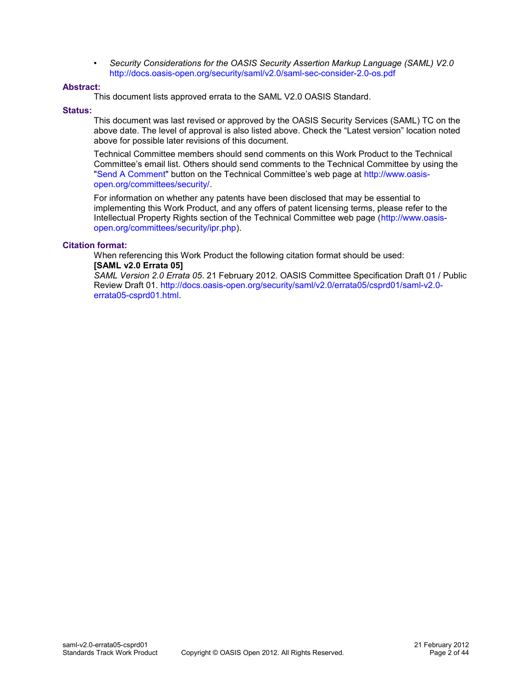• *Security Considerations for the OASIS Security Assertion Markup Language (SAML) V2.0* <http://docs.oasis-open.org/security/saml/v2.0/saml-sec-consider-2.0-os.pdf>

### **Abstract:**

This document lists approved errata to the SAML V2.0 OASIS Standard.

### **Status:**

This document was last revised or approved by the OASIS Security Services (SAML) TC on the above date. The level of approval is also listed above. Check the "Latest version" location noted above for possible later revisions of this document.

Technical Committee members should send comments on this Work Product to the Technical Committee's email list. Others should send comments to the Technical Committee by using the ["Send A Comment"](http://www.oasis-open.org/committees/comments/form.php?wg_abbrev=security) button on the Technical Committee's web page at [http://www.oasis](http://www.oasis-open.org/committees/security/)[open.org/committees/security/.](http://www.oasis-open.org/committees/security/)

For information on whether any patents have been disclosed that may be essential to implementing this Work Product, and any offers of patent licensing terms, please refer to the Intellectual Property Rights section of the Technical Committee web page [\(http://www.oasis](http://www.oasis-open.org/committees/security/ipr.php)[open.org/committees/security/ipr.php\)](http://www.oasis-open.org/committees/security/ipr.php).

### **Citation format:**

When referencing this Work Product the following citation format should be used: **[SAML v2.0 Errata 05]**

*SAML Version 2.0 Errata 05*. 21 February 2012. OASIS Committee Specification Draft 01 / Public Review Draft 01. [http://docs.oasis-open.org/security/saml/v2.0/errata05/csprd01/saml-v2.0](http://docs.oasis-open.org/security/saml/v2.0/errata05/csprd01/saml-v2.0-errata05-csprd01.html) [errata05-csprd01.html.](http://docs.oasis-open.org/security/saml/v2.0/errata05/csprd01/saml-v2.0-errata05-csprd01.html)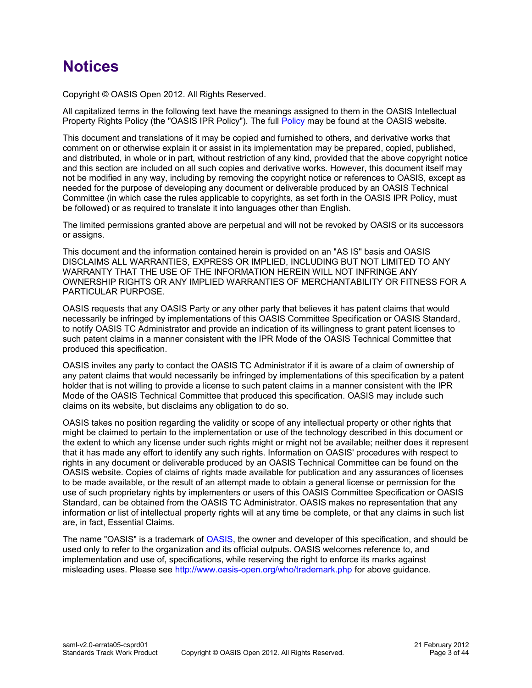# **Notices**

Copyright © OASIS Open 2012. All Rights Reserved.

All capitalized terms in the following text have the meanings assigned to them in the OASIS Intellectual Property Rights Policy (the "OASIS IPR Policy"). The full [Policy](http://www.oasis-open.org/who/intellectualproperty.php) may be found at the OASIS website.

This document and translations of it may be copied and furnished to others, and derivative works that comment on or otherwise explain it or assist in its implementation may be prepared, copied, published, and distributed, in whole or in part, without restriction of any kind, provided that the above copyright notice and this section are included on all such copies and derivative works. However, this document itself may not be modified in any way, including by removing the copyright notice or references to OASIS, except as needed for the purpose of developing any document or deliverable produced by an OASIS Technical Committee (in which case the rules applicable to copyrights, as set forth in the OASIS IPR Policy, must be followed) or as required to translate it into languages other than English.

The limited permissions granted above are perpetual and will not be revoked by OASIS or its successors or assigns.

This document and the information contained herein is provided on an "AS IS" basis and OASIS DISCLAIMS ALL WARRANTIES, EXPRESS OR IMPLIED, INCLUDING BUT NOT LIMITED TO ANY WARRANTY THAT THE USE OF THE INFORMATION HEREIN WILL NOT INFRINGE ANY OWNERSHIP RIGHTS OR ANY IMPLIED WARRANTIES OF MERCHANTABILITY OR FITNESS FOR A PARTICULAR PURPOSE.

OASIS requests that any OASIS Party or any other party that believes it has patent claims that would necessarily be infringed by implementations of this OASIS Committee Specification or OASIS Standard, to notify OASIS TC Administrator and provide an indication of its willingness to grant patent licenses to such patent claims in a manner consistent with the IPR Mode of the OASIS Technical Committee that produced this specification.

OASIS invites any party to contact the OASIS TC Administrator if it is aware of a claim of ownership of any patent claims that would necessarily be infringed by implementations of this specification by a patent holder that is not willing to provide a license to such patent claims in a manner consistent with the IPR Mode of the OASIS Technical Committee that produced this specification. OASIS may include such claims on its website, but disclaims any obligation to do so.

OASIS takes no position regarding the validity or scope of any intellectual property or other rights that might be claimed to pertain to the implementation or use of the technology described in this document or the extent to which any license under such rights might or might not be available; neither does it represent that it has made any effort to identify any such rights. Information on OASIS' procedures with respect to rights in any document or deliverable produced by an OASIS Technical Committee can be found on the OASIS website. Copies of claims of rights made available for publication and any assurances of licenses to be made available, or the result of an attempt made to obtain a general license or permission for the use of such proprietary rights by implementers or users of this OASIS Committee Specification or OASIS Standard, can be obtained from the OASIS TC Administrator. OASIS makes no representation that any information or list of intellectual property rights will at any time be complete, or that any claims in such list are, in fact, Essential Claims.

The name "OASIS" is a trademark of [OASIS,](http://www.oasis-open.org/) the owner and developer of this specification, and should be used only to refer to the organization and its official outputs. OASIS welcomes reference to, and implementation and use of, specifications, while reserving the right to enforce its marks against misleading uses. Please see<http://www.oasis-open.org/who/trademark.php>for above guidance.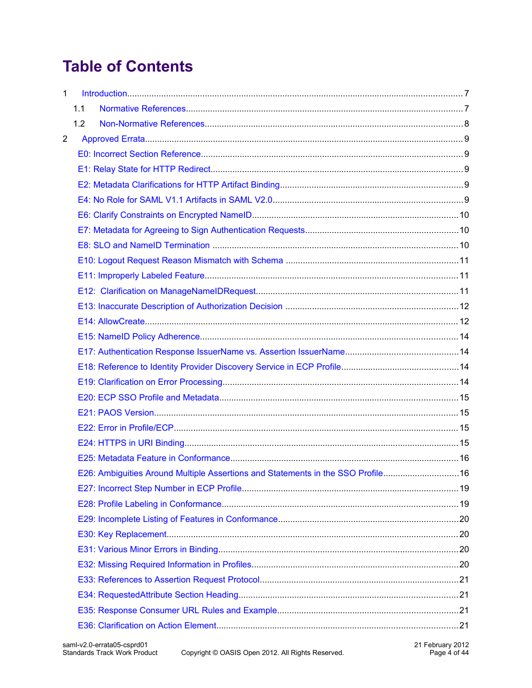# **Table of Contents**

| $\mathbf{1}$   |     |                                                                                  |  |  |  |
|----------------|-----|----------------------------------------------------------------------------------|--|--|--|
|                | 1.1 |                                                                                  |  |  |  |
|                | 1.2 |                                                                                  |  |  |  |
| $\overline{2}$ |     |                                                                                  |  |  |  |
|                |     |                                                                                  |  |  |  |
|                |     |                                                                                  |  |  |  |
|                |     |                                                                                  |  |  |  |
|                |     |                                                                                  |  |  |  |
|                |     |                                                                                  |  |  |  |
|                |     |                                                                                  |  |  |  |
|                |     |                                                                                  |  |  |  |
|                |     |                                                                                  |  |  |  |
|                |     |                                                                                  |  |  |  |
|                |     |                                                                                  |  |  |  |
|                |     |                                                                                  |  |  |  |
|                |     |                                                                                  |  |  |  |
|                |     |                                                                                  |  |  |  |
|                |     |                                                                                  |  |  |  |
|                |     |                                                                                  |  |  |  |
|                |     |                                                                                  |  |  |  |
|                |     |                                                                                  |  |  |  |
|                |     |                                                                                  |  |  |  |
|                |     |                                                                                  |  |  |  |
|                |     |                                                                                  |  |  |  |
|                |     |                                                                                  |  |  |  |
|                |     | E26: Ambiguities Around Multiple Assertions and Statements in the SSO Profile 16 |  |  |  |
|                |     |                                                                                  |  |  |  |
|                |     |                                                                                  |  |  |  |
|                |     |                                                                                  |  |  |  |
|                |     |                                                                                  |  |  |  |
|                |     |                                                                                  |  |  |  |
|                |     |                                                                                  |  |  |  |
|                |     |                                                                                  |  |  |  |
|                |     |                                                                                  |  |  |  |
|                |     |                                                                                  |  |  |  |
|                |     |                                                                                  |  |  |  |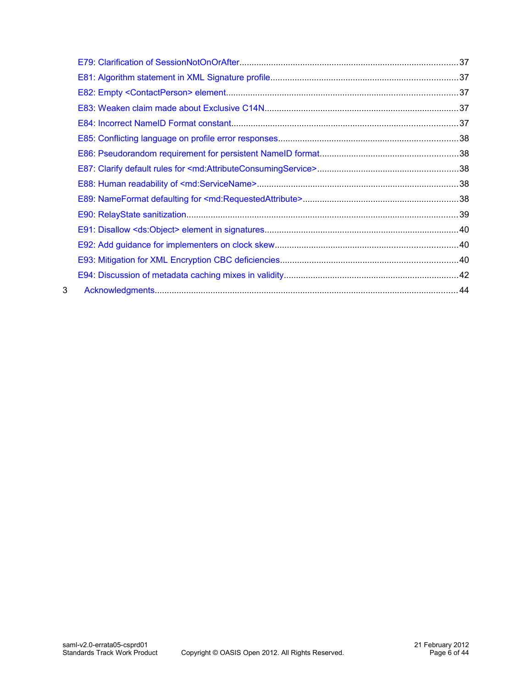| 3 |  |
|---|--|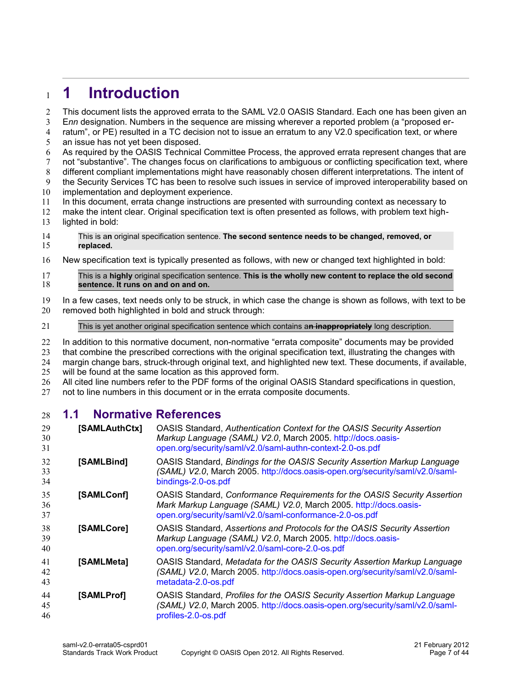### <span id="page-6-1"></span>**1 Introduction** 1

This document lists the approved errata to the SAML V2.0 OASIS Standard. Each one has been given an 2

E*nn* designation. Numbers in the sequence are missing wherever a reported problem (a "proposed er-3

- ratum", or PE) resulted in a TC decision not to issue an erratum to any V2.0 specification text, or where an issue has not yet been disposed. 4 5
- As required by the OASIS Technical Committee Process, the approved errata represent changes that are 6
- not "substantive". The changes focus on clarifications to ambiguous or conflicting specification text, where 7
- different compliant implementations might have reasonably chosen different interpretations. The intent of the Security Services TC has been to resolve such issues in service of improved interoperability based on 8 9
- implementation and deployment experience. 10
- In this document, errata change instructions are presented with surrounding context as necessary to 11
- make the intent clear. Original specification text is often presented as follows, with problem text highlighted in bold: 12 13
- This is a**n** original specification sentence. **The second sentence needs to be changed, removed, or replaced.**  14 15
- New specification text is typically presented as follows, with new or changed text highlighted in bold: 16

#### This is a **highly** original specification sentence. **This is the wholly new content to replace the old second sentence. It runs on and on and on.**  17 18

- In a few cases, text needs only to be struck, in which case the change is shown as follows, with text to be removed both highlighted in bold and struck through: 19 20
- This is yet another original specification sentence which contains a**n inappropriately** long description. 21
- In addition to this normative document, non-normative "errata composite" documents may be provided 22
- that combine the prescribed corrections with the original specification text, illustrating the changes with 23
- margin change bars, struck-through original text, and highlighted new text. These documents, if available, will be found at the same location as this approved form. 24 25
- All cited line numbers refer to the PDF forms of the original OASIS Standard specifications in question, 26
- not to line numbers in this document or in the errata composite documents. 27

#### <span id="page-6-0"></span>**1.1 Normative References** 28

<span id="page-6-7"></span><span id="page-6-6"></span><span id="page-6-5"></span><span id="page-6-4"></span><span id="page-6-3"></span><span id="page-6-2"></span>

| 29<br>30<br>31 | [SAMLAuthCtx]    | OASIS Standard, Authentication Context for the OASIS Security Assertion<br>Markup Language (SAML) V2.0, March 2005. http://docs.oasis-<br>open.org/security/saml/v2.0/saml-authn-context-2.0-os.pdf      |
|----------------|------------------|----------------------------------------------------------------------------------------------------------------------------------------------------------------------------------------------------------|
| 32<br>33<br>34 | [SAMLBind]       | OASIS Standard, Bindings for the OASIS Security Assertion Markup Language<br>(SAML) V2.0, March 2005. http://docs.oasis-open.org/security/saml/v2.0/saml-<br>bindings-2.0-os.pdf                         |
| 35<br>36<br>37 | <b>SAMLConfl</b> | OASIS Standard, Conformance Requirements for the OASIS Security Assertion<br>Mark Markup Language (SAML) V2.0, March 2005. http://docs.oasis-<br>open.org/security/saml/v2.0/saml-conformance-2.0-os.pdf |
| 38<br>39<br>40 | [SAMLCore]       | OASIS Standard, Assertions and Protocols for the OASIS Security Assertion<br>Markup Language (SAML) V2.0, March 2005. http://docs.oasis-<br>open.org/security/saml/v2.0/saml-core-2.0-os.pdf             |
| 41<br>42<br>43 | [SAMLMeta]       | OASIS Standard, Metadata for the OASIS Security Assertion Markup Language<br>(SAML) V2.0, March 2005. http://docs.oasis-open.org/security/saml/v2.0/saml-<br>metadata-2.0-os.pdf                         |
| 44<br>45<br>46 | [SAMLProf]       | OASIS Standard, Profiles for the OASIS Security Assertion Markup Language<br>(SAML) V2.0, March 2005. http://docs.oasis-open.org/security/saml/v2.0/saml-<br>profiles-2.0-os.pdf                         |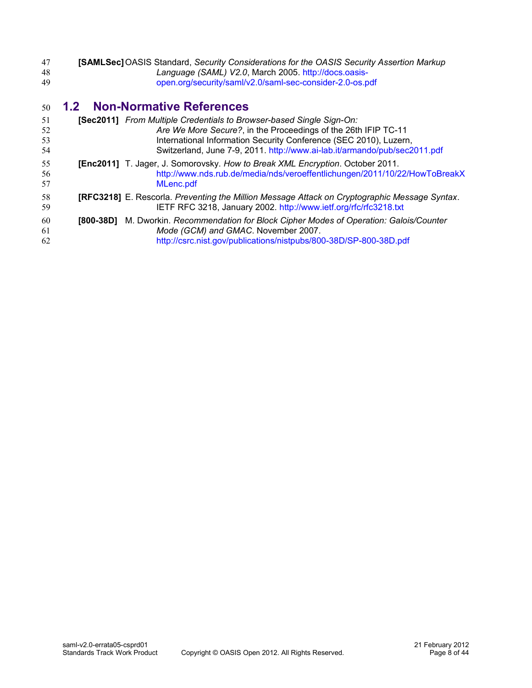<span id="page-7-1"></span>

| 47 | <b>[SAMLSec]</b> OASIS Standard, Security Considerations for the OASIS Security Assertion Markup |
|----|--------------------------------------------------------------------------------------------------|
| 48 | Language (SAML) V2.0, March 2005. http://docs.oasis-                                             |
| 49 | open.org/security/saml/v2.0/saml-sec-consider-2.0-os.pdf                                         |

## <span id="page-7-0"></span>**1.2 Non-Normative References** 50

<span id="page-7-5"></span><span id="page-7-4"></span><span id="page-7-3"></span><span id="page-7-2"></span>

| 51<br>52<br>53<br>54 |           | [Sec2011] From Multiple Credentials to Browser-based Single Sign-On:<br>Are We More Secure?, in the Proceedings of the 26th IFIP TC-11<br>International Information Security Conference (SEC 2010), Luzern,<br>Switzerland, June 7-9, 2011. http://www.ai-lab.it/armando/pub/sec2011.pdf |
|----------------------|-----------|------------------------------------------------------------------------------------------------------------------------------------------------------------------------------------------------------------------------------------------------------------------------------------------|
| 55<br>56<br>57       |           | [Enc2011] T. Jager, J. Somorovsky. How to Break XML Encryption. October 2011.<br>http://www.nds.rub.de/media/nds/veroeffentlichungen/2011/10/22/HowToBreakX<br>MLenc.pdf                                                                                                                 |
| 58<br>59             |           | [RFC3218] E. Rescorla. Preventing the Million Message Attack on Cryptographic Message Syntax.<br>IETF RFC 3218, January 2002. http://www.ietf.org/rfc/rfc3218.txt                                                                                                                        |
| 60<br>61<br>62       | [800-38D] | M. Dworkin. Recommendation for Block Cipher Modes of Operation: Galois/Counter<br>Mode (GCM) and GMAC. November 2007.<br>http://csrc.nist.gov/publications/nistpubs/800-38D/SP-800-38D.pdf                                                                                               |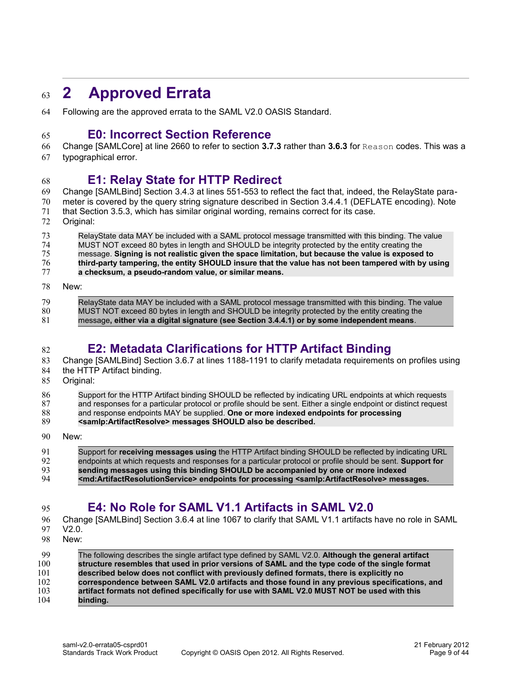### <span id="page-8-4"></span>**2 Approved Errata** 63

Following are the approved errata to the SAML V2.0 OASIS Standard. 64

### <span id="page-8-3"></span>**E0: Incorrect Section Reference**

Change [\[SAMLCore\]](#page-6-2) at line 2660 to refer to section **3.7.3** rather than **3.6.3** for Reason codes. This was a 66

typographical error. 67

#### <span id="page-8-2"></span>**E1: Relay State for HTTP Redirect** 68

Change [\[SAMLBind\]](#page-6-3) Section 3.4.3 at lines 551-553 to reflect the fact that, indeed, the RelayState para-69

meter is covered by the query string signature described in Section 3.4.4.1 (DEFLATE encoding). Note that Section 3.5.3, which has similar original wording, remains correct for its case. 70 71

Original: 72

65

RelayState data MAY be included with a SAML protocol message transmitted with this binding. The value MUST NOT exceed 80 bytes in length and SHOULD be integrity protected by the entity creating the message. **Signing is not realistic given the space limitation, but because the value is exposed to third-party tampering, the entity SHOULD insure that the value has not been tampered with by using a checksum, a pseudo-random value, or similar means.** 73 74 75 76 77

#### New: 78

82

RelayState data MAY be included with a SAML protocol message transmitted with this binding. The value MUST NOT exceed 80 bytes in length and SHOULD be integrity protected by the entity creating the message**, either via a digital signature (see Section 3.4.4.1) or by some independent means**. 79 80 81

# <span id="page-8-1"></span>**E2: Metadata Clarifications for HTTP Artifact Binding**

Change [\[SAMLBind\]](#page-6-3) Section 3.6.7 at lines 1188-1191 to clarify metadata requirements on profiles using the HTTP Artifact binding. 83 84

- 
- Original: 85

Support for the HTTP Artifact binding SHOULD be reflected by indicating URL endpoints at which requests 86

and responses for a particular protocol or profile should be sent. Either a single endpoint or distinct request 87

and response endpoints MAY be supplied. **One or more indexed endpoints for processing** 88

- **<samlp:ArtifactResolve> messages SHOULD also be described.** 89
- New: 90

#### Support for **receiving messages using** the HTTP Artifact binding SHOULD be reflected by indicating URL endpoints at which requests and responses for a particular protocol or profile should be sent. **Support for sending messages using this binding SHOULD be accompanied by one or more indexed <md:ArtifactResolutionService> endpoints for processing <samlp:ArtifactResolve> messages.** 91 92 93 94

# <span id="page-8-0"></span>**E4: No Role for SAML V1.1 Artifacts in SAML V2.0**

Change [\[SAMLBind\]](#page-6-3) Section 3.6.4 at line 1067 to clarify that SAML V1.1 artifacts have no role in SAML 96

V2.0. 97

95

New: 98

#### The following describes the single artifact type defined by SAML V2.0. **Although the general artifact structure resembles that used in prior versions of SAML and the type code of the single format described below does not conflict with previously defined formats, there is explicitly no correspondence between SAML V2.0 artifacts and those found in any previous specifications, and artifact formats not defined specifically for use with SAML V2.0 MUST NOT be used with this binding.**  $0<sub>9</sub>$ 100 101 102 103 104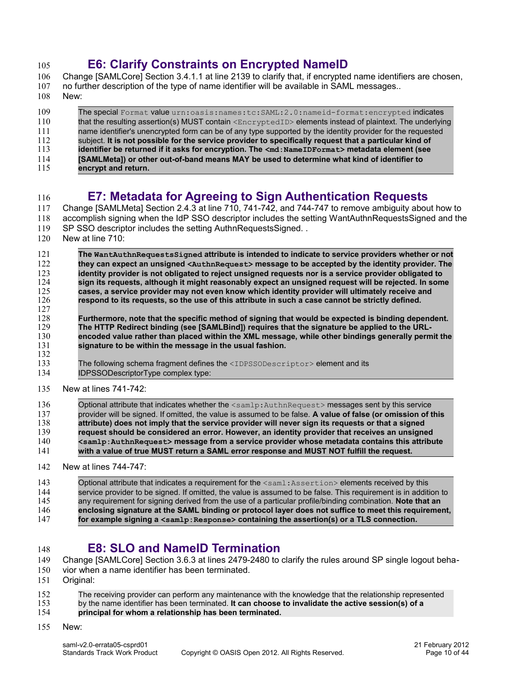# <span id="page-9-2"></span>**E6: Clarify Constraints on Encrypted NameID**

- Change [\[SAMLCore\]](#page-6-2) Section 3.4.1.1 at line 2139 to clarify that, if encrypted name identifiers are chosen, no further description of the type of name identifier will be available in SAML messages.. 106 107
- New: 108

105

The special Format value urn:oasis:names:tc:SAML:2.0:nameid-format:encrypted indicates that the resulting assertion(s) MUST contain <EncryptedID> elements instead of plaintext. The underlying name identifier's unencrypted form can be of any type supported by the identity provider for the requested subject. **It is not possible for the service provider to specifically request that a particular kind of identifier be returned if it asks for encryption. The <md:NameIDFormat> metadata element (see [SAMLMeta]) or other out-of-band means MAY be used to determine what kind of identifier to encrypt and return.** 109 110 111 112 113 114 115

#### <span id="page-9-1"></span>**E7: Metadata for Agreeing to Sign Authentication Requests** 116

Change [\[SAMLMeta\]](#page-6-4) Section 2.4.3 at line 710, 741-742, and 744-747 to remove ambiguity about how to accomplish signing when the IdP SSO descriptor includes the setting WantAuthnRequestsSigned and the SP SSO descriptor includes the setting AuthnRequestsSigned... 117 118 119

- New at line 710: 120
- **The WantAuthnRequestsSigned attribute is intended to indicate to service providers whether or not they can expect an unsigned <AuthnRequest> message to be accepted by the identity provider. The identity provider is not obligated to reject unsigned requests nor is a service provider obligated to sign its requests, although it might reasonably expect an unsigned request will be rejected. In some cases, a service provider may not even know which identity provider will ultimately receive and respond to its requests, so the use of this attribute in such a case cannot be strictly defined. Furthermore, note that the specific method of signing that would be expected is binding dependent. The HTTP Redirect binding (see [SAMLBind]) requires that the signature be applied to the URLencoded value rather than placed within the XML message, while other bindings generally permit the signature to be within the message in the usual fashion.** The following schema fragment defines the <IDPSSODescriptor> element and its IDPSSODescriptorType complex type: 121 122 123 124 125 126 127 128 129 130 131 132 133 134
- New at lines 741-742: 135

| 136 | Optional attribute that indicates whether the <samlp: authnrequest=""> messages sent by this service</samlp:>    |
|-----|------------------------------------------------------------------------------------------------------------------|
| 137 | provider will be signed. If omitted, the value is assumed to be false. A value of false (or omission of this     |
| 138 | attribute) does not imply that the service provider will never sign its requests or that a signed                |
| 139 | request should be considered an error. However, an identity provider that receives an unsigned                   |
| 140 | <samlp:authnrequest> message from a service provider whose metadata contains this attribute</samlp:authnrequest> |
| 141 | with a value of true MUST return a SAML error response and MUST NOT fulfill the request.                         |
| 142 | New at lines 744-747:                                                                                            |

Optional attribute that indicates a requirement for the <saml:Assertion> elements received by this service provider to be signed. If omitted, the value is assumed to be false. This requirement is in addition to any requirement for signing derived from the use of a particular profile/binding combination. **Note that an enclosing signature at the SAML binding or protocol layer does not suffice to meet this requirement, for example signing a <samlp:Response> containing the assertion(s) or a TLS connection.** 143 144 145 146 147

### <span id="page-9-0"></span>**E8: SLO and NameID Termination**

- Change [\[SAMLCore\]](#page-6-2) Section 3.6.3 at lines 2479-2480 to clarify the rules around SP single logout beha-149
- vior when a name identifier has been terminated. 150
- Original: 151

148

- The receiving provider can perform any maintenance with the knowledge that the relationship represented by the name identifier has been terminated. **It can choose to invalidate the active session(s) of a principal for whom a relationship has been terminated.** 152 153 154
- New: 155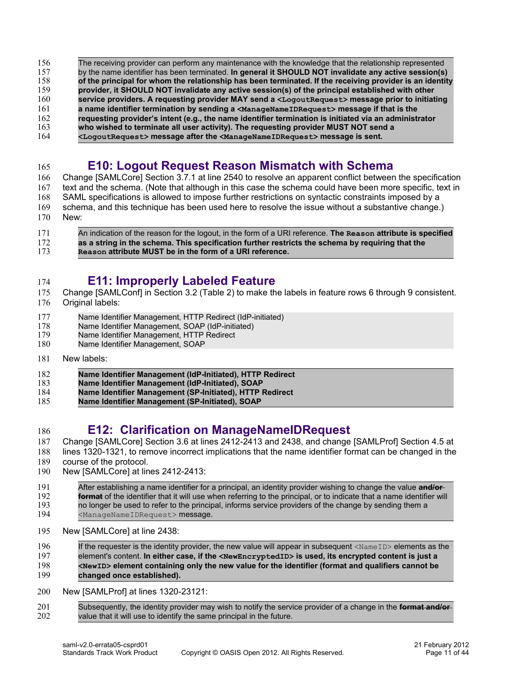- The receiving provider can perform any maintenance with the knowledge that the relationship represented by the name identifier has been terminated. **In general it SHOULD NOT invalidate any active session(s) of the principal for whom the relationship has been terminated. If the receiving provider is an identity provider, it SHOULD NOT invalidate any active session(s) of the principal established with other service providers. A requesting provider MAY send a <LogoutRequest> message prior to initiating a name identifier termination by sending a <ManageNameIDRequest> message if that is the requesting provider's intent (e.g., the name identifier termination is initiated via an administrator who wished to terminate all user activity). The requesting provider MUST NOT send a** 156 157 158 159 160 161 162 163
- **<LogoutRequest> message after the <ManageNameIDRequest> message is sent.** 164

#### <span id="page-10-2"></span>**E10: Logout Request Reason Mismatch with Schema**  165

Change [\[SAMLCore\]](#page-6-2) Section 3.7.1 at line 2540 to resolve an apparent conflict between the specification text and the schema. (Note that although in this case the schema could have been more specific, text in SAML specifications is allowed to impose further restrictions on syntactic constraints imposed by a schema, and this technique has been used here to resolve the issue without a substantive change.) New: 166 167 168 169 170

| 171 | An indication of the reason for the logout, in the form of a URI reference. The Reason attribute is specified |
|-----|---------------------------------------------------------------------------------------------------------------|
| 172 | as a string in the schema. This specification further restricts the schema by requiring that the              |
| 173 | Reason attribute MUST be in the form of a URI reference.                                                      |

#### <span id="page-10-1"></span>**E11: Improperly Labeled Feature** 174

- Change [\[SAMLConf\]](#page-6-6) in Section 3.2 (Table 2) to make the labels in feature rows 6 through 9 consistent. 175
- Original labels: 176
- Name Identifier Management, HTTP Redirect (IdP-initiated) 177
- Name Identifier Management, SOAP (IdP-initiated) 178
- Name Identifier Management, HTTP Redirect 179
- Name Identifier Management, SOAP 180
- New labels: 181

186

- **Name Identifier Management (IdP-Initiated), HTTP Redirect** 182
- **Name Identifier Management (IdP-Initiated), SOAP** 183
- **Name Identifier Management (SP-Initiated), HTTP Redirect** 184
- **Name Identifier Management (SP-Initiated), SOAP** 185

### <span id="page-10-0"></span>**E12: Clarification on ManageNameIDRequest**

- Change [\[SAMLCore\]](#page-6-2) Section 3.6 at lines 2412-2413 and 2438, and change [\[SAMLProf\]](#page-6-5) Section 4.5 at 187
- lines 1320-1321, to remove incorrect implications that the name identifier format can be changed in the 188
- course of the protocol. 189
- New [\[SAMLCore\]](#page-6-2) at lines 2412-2413: 190

| 191        | After establishing a name identifier for a principal, an identity provider wishing to change the value and/or-                                                                                                                  |
|------------|---------------------------------------------------------------------------------------------------------------------------------------------------------------------------------------------------------------------------------|
| 192<br>193 | format of the identifier that it will use when referring to the principal, or to indicate that a name identifier will<br>no longer be used to refer to the principal, informs service providers of the change by sending them a |
| 194        | <managenameidrequest> message.</managenameidrequest>                                                                                                                                                                            |

- New [\[SAMLCore\]](#page-6-2) at line 2438: 195
- If the requester is the identity provider, the new value will appear in subsequent <NameID> elements as the element's content. **In either case, if the <NewEncryptedID> is used, its encrypted content is just a <NewID> element containing only the new value for the identifier (format and qualifiers cannot be changed once established).** 196 197 198 199
- New [\[SAMLProf\]](#page-6-5) at lines 1320-23121: 200
- Subsequently, the identity provider may wish to notify the service provider of a change in the **format and/or** value that it will use to identify the same principal in the future. 201 202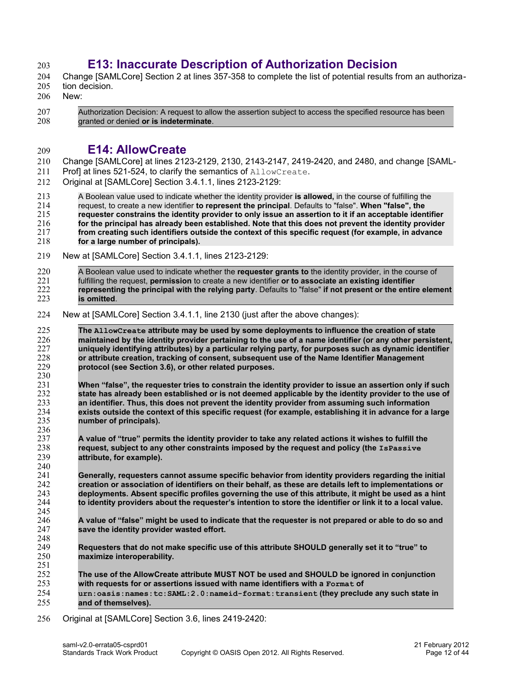# <span id="page-11-1"></span>**E13: Inaccurate Description of Authorization Decision**

Change [\[SAMLCore\]](#page-6-2) Section 2 at lines 357-358 to complete the list of potential results from an authoriza-204

- tion decision. 205
- New: 206

203

Authorization Decision: A request to allow the assertion subject to access the specified resource has been granted or denied **or is indeterminate**. 207 208

#### <span id="page-11-0"></span>**E14: AllowCreate** 209

Change [\[SAMLCore\]](#page-6-2) at lines 2123-2129, 2130, 2143-2147, 2419-2420, and 2480, and change [\[SAML-](#page-6-5)210

- [Prof\]](#page-6-5) at lines 521-524, to clarify the semantics of AllowCreate. 211
- Original at [\[SAMLCore\]](#page-6-2) Section 3.4.1.1, lines 2123-2129: 212

A Boolean value used to indicate whether the identity provider **is allowed,** in the course of fulfilling the request, to create a new identifier **to represent the principal**. Defaults to "false". **When "false", the requester constrains the identity provider to only issue an assertion to it if an acceptable identifier for the principal has already been established. Note that this does not prevent the identity provider from creating such identifiers outside the context of this specific request (for example, in advance for a large number of principals).** 213 214 215 216 217 218

- New at [\[SAMLCore\]](#page-6-2) Section 3.4.1.1, lines 2123-2129: 219
- A Boolean value used to indicate whether the **requester grants to** the identity provider, in the course of fulfilling the request, **permission** to create a new identifier **or to associate an existing identifier representing the principal with the relying party**. Defaults to "false" **if not present or the entire element is omitted**. 220 221 222 223
- New at [\[SAMLCore\]](#page-6-2) Section 3.4.1.1, line 2130 (just after the above changes): 224

**The AllowCreate attribute may be used by some deployments to influence the creation of state maintained by the identity provider pertaining to the use of a name identifier (or any other persistent, uniquely identifying attributes) by a particular relying party, for purposes such as dynamic identifier or attribute creation, tracking of consent, subsequent use of the Name Identifier Management protocol (see Section 3.6), or other related purposes.** 225 226 227 228 229 230

**When "false", the requester tries to constrain the identity provider to issue an assertion only if such state has already been established or is not deemed applicable by the identity provider to the use of an identifier. Thus, this does not prevent the identity provider from assuming such information exists outside the context of this specific request (for example, establishing it in advance for a large number of principals).** 231 232 233 234 235 236

**A value of "true" permits the identity provider to take any related actions it wishes to fulfill the request, subject to any other constraints imposed by the request and policy (the IsPassive attribute, for example).** 237 238 239 240

**Generally, requesters cannot assume specific behavior from identity providers regarding the initial creation or association of identifiers on their behalf, as these are details left to implementations or deployments. Absent specific profiles governing the use of this attribute, it might be used as a hint to identity providers about the requester's intention to store the identifier or link it to a local value.** 241 242 243 244 245

- **A value of "false" might be used to indicate that the requester is not prepared or able to do so and save the identity provider wasted effort.** 246 247 248
- **Requesters that do not make specific use of this attribute SHOULD generally set it to "true" to maximize interoperability.** 249 250
- **The use of the AllowCreate attribute MUST NOT be used and SHOULD be ignored in conjunction with requests for or assertions issued with name identifiers with a Format of urn:oasis:names:tc:SAML:2.0:nameid-format:transient (they preclude any such state in and of themselves).** 251 252 253 254 255
- Original at [\[SAMLCore\]](#page-6-2) Section 3.6, lines 2419-2420: 256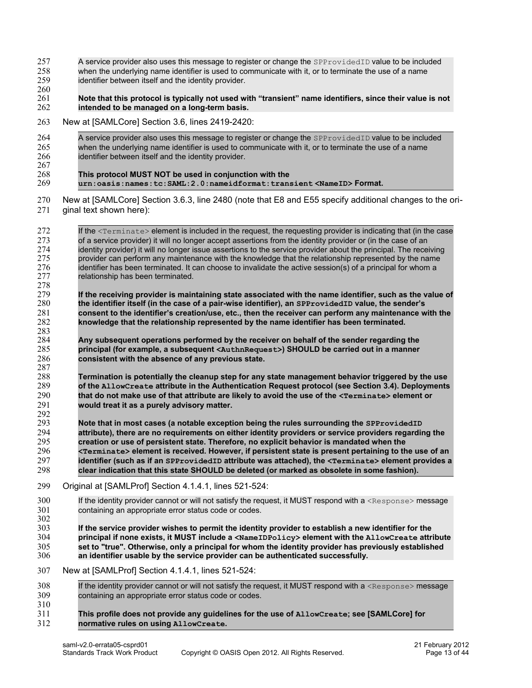- A service provider also uses this message to register or change the SPProvidedID value to be included when the underlying name identifier is used to communicate with it, or to terminate the use of a name identifier between itself and the identity provider. 257 258 259
- **Note that this protocol is typically not used with "transient" name identifiers, since their value is not intended to be managed on a long-term basis.** 260 261 262
- New at [\[SAMLCore\]](#page-6-2) Section 3.6, lines 2419-2420: 263

| 264 | A service provider also uses this message to register or change the SPProvided ID value to be included |
|-----|--------------------------------------------------------------------------------------------------------|
| 265 | when the underlying name identifier is used to communicate with it, or to terminate the use of a name  |
| 266 | identifier between itself and the identity provider.                                                   |
| 267 |                                                                                                        |
| 268 | This protocol MUST NOT be used in conjunction with the                                                 |
| 269 | urn:oasis:names:tc:SAML:2.0:nameidformat:transient <nameid>Format.</nameid>                            |

New at [\[SAMLCore\]](#page-6-2) Section 3.6.3, line 2480 (note that E8 and E55 specify additional changes to the original text shown here): 270 271

| 272<br>273<br>274                      | If the <terminate> element is included in the request, the requesting provider is indicating that (in the case<br/>of a service provider) it will no longer accept assertions from the identity provider or (in the case of an<br/>identity provider) it will no longer issue assertions to the service provider about the principal. The receiving</terminate>                                                                                                                                                                                                                                                                        |
|----------------------------------------|----------------------------------------------------------------------------------------------------------------------------------------------------------------------------------------------------------------------------------------------------------------------------------------------------------------------------------------------------------------------------------------------------------------------------------------------------------------------------------------------------------------------------------------------------------------------------------------------------------------------------------------|
| 275<br>276<br>277<br>278               | provider can perform any maintenance with the knowledge that the relationship represented by the name<br>identifier has been terminated. It can choose to invalidate the active session(s) of a principal for whom a<br>relationship has been terminated.                                                                                                                                                                                                                                                                                                                                                                              |
| 279<br>280<br>281                      | If the receiving provider is maintaining state associated with the name identifier, such as the value of<br>the identifier itself (in the case of a pair-wise identifier), an SPProvidedID value, the sender's<br>consent to the identifier's creation/use, etc., then the receiver can perform any maintenance with the                                                                                                                                                                                                                                                                                                               |
| 282<br>283                             | knowledge that the relationship represented by the name identifier has been terminated.                                                                                                                                                                                                                                                                                                                                                                                                                                                                                                                                                |
| 284<br>285<br>286                      | Any subsequent operations performed by the receiver on behalf of the sender regarding the<br>principal (for example, a subsequent <authnrequest>) SHOULD be carried out in a manner<br/>consistent with the absence of any previous state.</authnrequest>                                                                                                                                                                                                                                                                                                                                                                              |
| 287<br>288<br>289<br>290               | Termination is potentially the cleanup step for any state management behavior triggered by the use<br>of the AllowCreate attribute in the Authentication Request protocol (see Section 3.4). Deployments<br>that do not make use of that attribute are likely to avoid the use of the <terminate> element or</terminate>                                                                                                                                                                                                                                                                                                               |
| 291<br>292                             | would treat it as a purely advisory matter.                                                                                                                                                                                                                                                                                                                                                                                                                                                                                                                                                                                            |
| 293<br>294<br>295<br>296<br>297<br>298 | Note that in most cases (a notable exception being the rules surrounding the SPProvidedID<br>attribute), there are no requirements on either identity providers or service providers regarding the<br>creation or use of persistent state. Therefore, no explicit behavior is mandated when the<br><terminate> element is received. However, if persistent state is present pertaining to the use of an<br/>identifier (such as if an SPProvidedID attribute was attached), the <terminate> element provides a<br/>clear indication that this state SHOULD be deleted (or marked as obsolete in some fashion).</terminate></terminate> |
| 299                                    | Original at [SAMLProf] Section 4.1.4.1, lines 521-524:                                                                                                                                                                                                                                                                                                                                                                                                                                                                                                                                                                                 |
| 300<br>301<br>302                      | If the identity provider cannot or will not satisfy the request, it MUST respond with a <response> message<br/>containing an appropriate error status code or codes.</response>                                                                                                                                                                                                                                                                                                                                                                                                                                                        |
| 303<br>304<br>305<br>306               | If the service provider wishes to permit the identity provider to establish a new identifier for the<br>principal if none exists, it MUST include a <nameidpolicy> element with the AllowCreate attribute<br/>set to "true". Otherwise, only a principal for whom the identity provider has previously established<br/>an identifier usable by the service provider can be authenticated successfully.</nameidpolicy>                                                                                                                                                                                                                  |
| 307                                    | New at [SAMLProf] Section 4.1.4.1, lines 521-524:                                                                                                                                                                                                                                                                                                                                                                                                                                                                                                                                                                                      |
| 308<br>309<br>310                      | If the identity provider cannot or will not satisfy the request, it MUST respond with a <response> message<br/>containing an appropriate error status code or codes.</response>                                                                                                                                                                                                                                                                                                                                                                                                                                                        |
| 311<br>312                             | This profile does not provide any guidelines for the use of AllowCreate; see [SAMLCore] for<br>normative rules on using AllowCreate.                                                                                                                                                                                                                                                                                                                                                                                                                                                                                                   |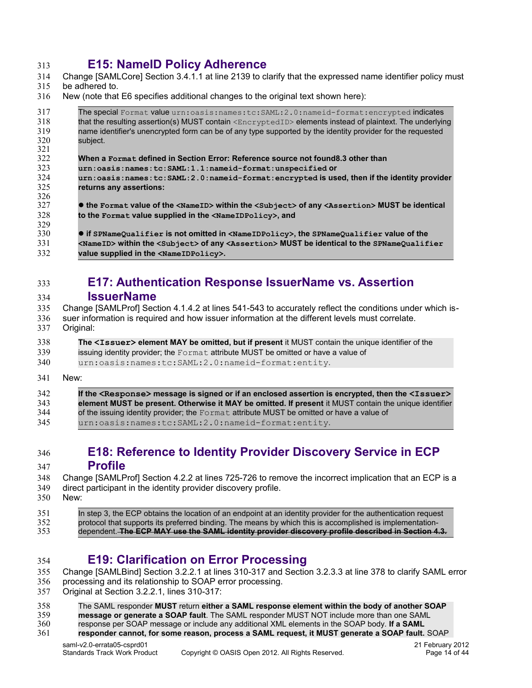#### <span id="page-13-3"></span>**E15: NameID Policy Adherence** 313

- Change [\[SAMLCore\]](#page-6-2) Section 3.4.1.1 at line 2139 to clarify that the expressed name identifier policy must 314
- be adhered to. 315
- New (note that E6 specifies additional changes to the original text shown here): 316

<span id="page-13-4"></span>

| The special Format value urn: oasis: names: tc: SAML: 2.0: nameid-format: encrypted indicates<br>that the resulting assertion(s) MUST contain $\leq$ ncryptedID> elements instead of plaintext. The underlying<br>name identifier's unencrypted form can be of any type supported by the identity provider for the requested<br>subject.<br>When a Format defined in Section Error: Reference source not found8.3 other than<br>urn:oasis:names:tc:SAML:1.1:nameid-format:unspecified Or<br>urn: oasis: names: tc: SAML: 2.0: nameid-format: encrypted is used, then if the identity provider<br>returns any assertions:<br>• the Format value of the <nameid> within the <subject> of any <assertion> MUST be identical<br/>to the Format value supplied in the <nameidpolicy>, and<br/><b>• if SPNameQualifier is not omitted in <nameidpolicy>, the SPNameQualifier Value of the</nameidpolicy></b><br/><math>\triangle</math>NameID&gt; within the <math>\triangle</math>subject&gt; of any <math>\triangle</math>Assertion&gt; MUST be identical to the SPNameQualifier<br/>value supplied in the <nameidpolicy>.</nameidpolicy></nameidpolicy></assertion></subject></nameid> |     |  |
|-------------------------------------------------------------------------------------------------------------------------------------------------------------------------------------------------------------------------------------------------------------------------------------------------------------------------------------------------------------------------------------------------------------------------------------------------------------------------------------------------------------------------------------------------------------------------------------------------------------------------------------------------------------------------------------------------------------------------------------------------------------------------------------------------------------------------------------------------------------------------------------------------------------------------------------------------------------------------------------------------------------------------------------------------------------------------------------------------------------------------------------------------------------------------------------|-----|--|
|                                                                                                                                                                                                                                                                                                                                                                                                                                                                                                                                                                                                                                                                                                                                                                                                                                                                                                                                                                                                                                                                                                                                                                                     | 317 |  |
|                                                                                                                                                                                                                                                                                                                                                                                                                                                                                                                                                                                                                                                                                                                                                                                                                                                                                                                                                                                                                                                                                                                                                                                     | 318 |  |
|                                                                                                                                                                                                                                                                                                                                                                                                                                                                                                                                                                                                                                                                                                                                                                                                                                                                                                                                                                                                                                                                                                                                                                                     | 319 |  |
|                                                                                                                                                                                                                                                                                                                                                                                                                                                                                                                                                                                                                                                                                                                                                                                                                                                                                                                                                                                                                                                                                                                                                                                     | 320 |  |
|                                                                                                                                                                                                                                                                                                                                                                                                                                                                                                                                                                                                                                                                                                                                                                                                                                                                                                                                                                                                                                                                                                                                                                                     | 321 |  |
|                                                                                                                                                                                                                                                                                                                                                                                                                                                                                                                                                                                                                                                                                                                                                                                                                                                                                                                                                                                                                                                                                                                                                                                     | 322 |  |
|                                                                                                                                                                                                                                                                                                                                                                                                                                                                                                                                                                                                                                                                                                                                                                                                                                                                                                                                                                                                                                                                                                                                                                                     | 323 |  |
|                                                                                                                                                                                                                                                                                                                                                                                                                                                                                                                                                                                                                                                                                                                                                                                                                                                                                                                                                                                                                                                                                                                                                                                     | 324 |  |
|                                                                                                                                                                                                                                                                                                                                                                                                                                                                                                                                                                                                                                                                                                                                                                                                                                                                                                                                                                                                                                                                                                                                                                                     | 325 |  |
|                                                                                                                                                                                                                                                                                                                                                                                                                                                                                                                                                                                                                                                                                                                                                                                                                                                                                                                                                                                                                                                                                                                                                                                     | 326 |  |
|                                                                                                                                                                                                                                                                                                                                                                                                                                                                                                                                                                                                                                                                                                                                                                                                                                                                                                                                                                                                                                                                                                                                                                                     | 327 |  |
|                                                                                                                                                                                                                                                                                                                                                                                                                                                                                                                                                                                                                                                                                                                                                                                                                                                                                                                                                                                                                                                                                                                                                                                     | 328 |  |
|                                                                                                                                                                                                                                                                                                                                                                                                                                                                                                                                                                                                                                                                                                                                                                                                                                                                                                                                                                                                                                                                                                                                                                                     | 329 |  |
|                                                                                                                                                                                                                                                                                                                                                                                                                                                                                                                                                                                                                                                                                                                                                                                                                                                                                                                                                                                                                                                                                                                                                                                     | 330 |  |
|                                                                                                                                                                                                                                                                                                                                                                                                                                                                                                                                                                                                                                                                                                                                                                                                                                                                                                                                                                                                                                                                                                                                                                                     | 331 |  |
|                                                                                                                                                                                                                                                                                                                                                                                                                                                                                                                                                                                                                                                                                                                                                                                                                                                                                                                                                                                                                                                                                                                                                                                     | 332 |  |

#### <span id="page-13-2"></span>**E17: Authentication Response IssuerName vs. Assertion IssuerName** 333 334

- Change [\[SAMLProf\]](#page-6-5) Section 4.1.4.2 at lines 541-543 to accurately reflect the conditions under which is-335
- suer information is required and how issuer information at the different levels must correlate. Original: 336 337
- **The <Issuer> element MAY be omitted, but if present** it MUST contain the unique identifier of the issuing identity provider; the  $F\text{ormat}$  attribute MUST be omitted or have a value of urn:oasis:names:tc:SAML:2.0:nameid-format:entity. 338 339 340
- New: 341

| 342 | If the $\leq$ Response> message is signed or if an enclosed assertion is encrypted, then the $\leq$ Issuer> |
|-----|-------------------------------------------------------------------------------------------------------------|
| 343 | element MUST be present. Otherwise it MAY be omitted. If present it MUST contain the unique identifier      |
| 344 | of the issuing identity provider; the Format attribute MUST be omitted or have a value of                   |
| 345 | urn:oasis:names:tc:SAML:2.0:nameid-format:entity.                                                           |

#### <span id="page-13-1"></span>**E18: Reference to Identity Provider Discovery Service in ECP Profile** 346 347

Change [\[SAMLProf\]](#page-6-5) Section 4.2.2 at lines 725-726 to remove the incorrect implication that an ECP is a direct participant in the identity provider discovery profile. 348 349

New: 350

In step 3, the ECP obtains the location of an endpoint at an identity provider for the authentication request protocol that supports its preferred binding. The means by which this is accomplished is implementationdependent. **The ECP MAY use the SAML identity provider discovery profile described in Section 4.3.** 351 352 353

- <span id="page-13-0"></span>**E19: Clarification on Error Processing** 354
- Change [\[SAMLBind\]](#page-6-3) Section 3.2.2.1 at lines 310-317 and Section 3.2.3.3 at line 378 to clarify SAML error 355
- processing and its relationship to SOAP error processing. 356
- Original at Section 3.2.2.1, lines 310-317: 357
- The SAML responder **MUST** return **either a SAML response element within the body of another SOAP** 358
- **message or generate a SOAP fault**. The SAML responder MUST NOT include more than one SAML 359
- response per SOAP message or include any additional XML elements in the SOAP body. **If a SAML** 360

**responder cannot, for some reason, process a SAML request, it MUST generate a SOAP fault.** SOAP 361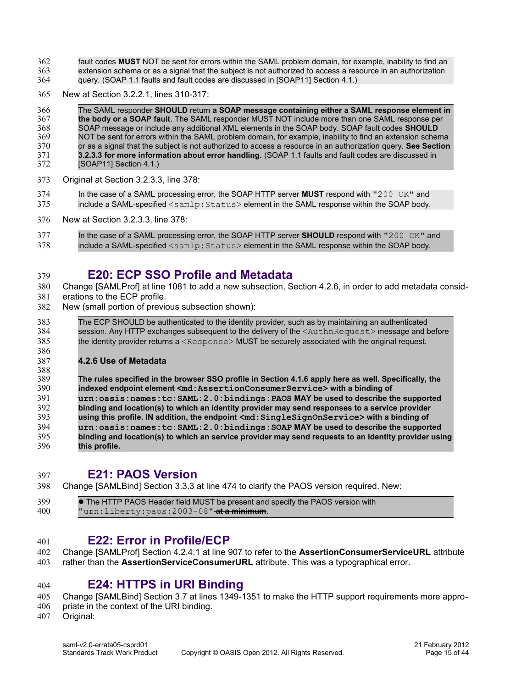fault codes **MUST** NOT be sent for errors within the SAML problem domain, for example, inability to find an extension schema or as a signal that the subject is not authorized to access a resource in an authorization query. (SOAP 1.1 faults and fault codes are discussed in [SOAP11] Section 4.1.) 362 363 364

New at Section 3.2.2.1, lines 310-317: 365

The SAML responder **SHOULD** return **a SOAP message containing either a SAML response element in the body or a SOAP fault**. The SAML responder MUST NOT include more than one SAML response per SOAP message or include any additional XML elements in the SOAP body. SOAP fault codes **SHOULD** NOT be sent for errors within the SAML problem domain, for example, inability to find an extension schema or as a signal that the subject is not authorized to access a resource in an authorization query. **See Section 3.2.3.3 for more information about error handling.** (SOAP 1.1 faults and fault codes are discussed in [SOAP11] Section 4.1.) 366 367 368 369 370 371 372

- Original at Section 3.2.3.3, line 378: 373
- In the case of a SAML processing error, the SOAP HTTP server **MUST** respond with "200 OK" and include a SAML-specified <samlp: Status> element in the SAML response within the SOAP body. 374 375
- New at Section 3.2.3.3, line 378: 376
- In the case of a SAML processing error, the SOAP HTTP server **SHOULD** respond with "200 OK" and include a SAML-specified <samlp: Status> element in the SAML response within the SOAP body. 377 378

#### <span id="page-14-3"></span>**E20: ECP SSO Profile and Metadata** 379

Change [\[SAMLProf\]](#page-6-5) at line 1081 to add a new subsection, Section 4.2.6, in order to add metadata considerations to the ECP profile. 380 381

- New (small portion of previous subsection shown): 382
- The ECP SHOULD be authenticated to the identity provider, such as by maintaining an authenticated session. Any HTTP exchanges subsequent to the delivery of the <AuthnRequest> message and before the identity provider returns a <Response> MUST be securely associated with the original request. 383 384 385 386

### **4.2.6 Use of Metadata**

387

**The rules specified in the browser SSO profile in Section 4.1.6 apply here as well. Specifically, the indexed endpoint element <md:AssertionConsumerService> with a binding of urn:oasis:names:tc:SAML:2.0:bindings:PAOS MAY be used to describe the supported binding and location(s) to which an identity provider may send responses to a service provider using this profile. IN addition, the endpoint <md:SingleSignOnService> with a binding of urn:oasis:names:tc:SAML:2.0:bindings:SOAP MAY be used to describe the supported binding and location(s) to which an service provider may send requests to an identity provider using this profile.** 388 389 390 391 392 393 394 395 396

<span id="page-14-2"></span>**E21: PAOS Version** 397

Change [\[SAMLBind\]](#page-6-3) Section 3.3.3 at line 474 to clarify the PAOS version required. New: 398

 The HTTP PAOS Header field MUST be present and specify the PAOS version with "urn:liberty:paos:2003-08" **at a minimum**. 399 400

#### <span id="page-14-1"></span>**E22: Error in Profile/ECP** 401

- Change [\[SAMLProf\]](#page-6-5) Section 4.2.4.1 at line 907 to refer to the **AssertionConsumerServiceURL** attribute 402
- rather than the **AssertionServiceConsumerURL** attribute. This was a typographical error. 403

#### <span id="page-14-0"></span>**E24: HTTPS in URI Binding** 404

Change [\[SAMLBind\]](#page-6-3) Section 3.7 at lines 1349-1351 to make the HTTP support requirements more appro-405

- priate in the context of the URI binding. 406
- Original: 407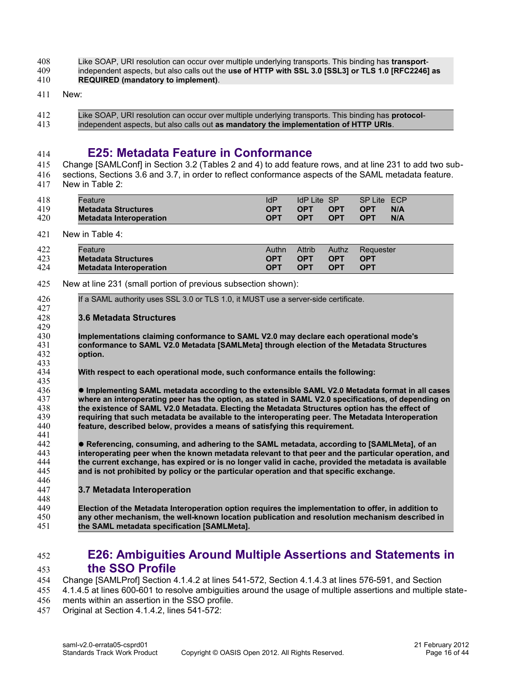#### Like SOAP, URI resolution can occur over multiple underlying transports. This binding has **transport**-408

- independent aspects, but also calls out the **use of HTTP with SSL 3.0 [SSL3] or TLS 1.0 [RFC2246] as REQUIRED (mandatory to implement)**. 409 410
- 
- New: 411
- Like SOAP, URI resolution can occur over multiple underlying transports. This binding has **protocol**independent aspects, but also calls out **as mandatory the implementation of HTTP URIs**. 412 413

#### <span id="page-15-1"></span>**E25: Metadata Feature in Conformance** 414

Change [\[SAMLConf\]](#page-6-6) in Section 3.2 (Tables 2 and 4) to add feature rows, and at line 231 to add two subsections, Sections 3.6 and 3.7, in order to reflect conformance aspects of the SAML metadata feature. 415 416

New in Table 2: 417

| 418 | Feature                        | <b>IdP</b> | <b>IdP Lite SP</b> |            | SP Lite ECP |     |
|-----|--------------------------------|------------|--------------------|------------|-------------|-----|
| 419 | <b>Metadata Structures</b>     | <b>OPT</b> | <b>OPT</b>         | <b>OPT</b> | <b>OPT</b>  | N/A |
| 420 | <b>Metadata Interoperation</b> | <b>OPT</b> | <b>OPT</b>         | <b>OPT</b> | <b>OPT</b>  | N/A |

#### New in Table 4: 421

| 422 | Feature                        | Authn      | Attrib     | <b>Authz</b> | Requester  |
|-----|--------------------------------|------------|------------|--------------|------------|
| 423 | <b>Metadata Structures</b>     | <b>OPT</b> | <b>OPT</b> | <b>OPT</b>   | <b>OPT</b> |
| 424 | <b>Metadata Interoperation</b> | <b>OPT</b> | <b>OPT</b> | <b>OPT</b>   | <b>OPT</b> |

- New at line 231 (small portion of previous subsection shown): 425
- If a SAML authority uses SSL 3.0 or TLS 1.0, it MUST use a server-side certificate. 426 427

#### **3.6 Metadata Structures** 428

**Implementations claiming conformance to SAML V2.0 may declare each operational mode's conformance to SAML V2.0 Metadata [SAMLMeta] through election of the Metadata Structures option.**

**With respect to each operational mode, such conformance entails the following:**

 **Implementing SAML metadata according to the extensible SAML V2.0 Metadata format in all cases where an interoperating peer has the option, as stated in SAML V2.0 specifications, of depending on the existence of SAML V2.0 Metadata. Electing the Metadata Structures option has the effect of requiring that such metadata be available to the interoperating peer. The Metadata Interoperation feature, described below, provides a means of satisfying this requirement.** 435 436 437 438 439 440 441

 **Referencing, consuming, and adhering to the SAML metadata, according to [SAMLMeta], of an interoperating peer when the known metadata relevant to that peer and the particular operation, and the current exchange, has expired or is no longer valid in cache, provided the metadata is available and is not prohibited by policy or the particular operation and that specific exchange.** 442 443 444 445 446

**3.7 Metadata Interoperation** 447

**Election of the Metadata Interoperation option requires the implementation to offer, in addition to any other mechanism, the well-known location publication and resolution mechanism described in the SAML metadata specification [SAMLMeta].** 448 449 450 451

#### <span id="page-15-0"></span>**E26: Ambiguities Around Multiple Assertions and Statements in the SSO Profile** 452 453

Change [\[SAMLProf\]](#page-6-5) Section 4.1.4.2 at lines 541-572, Section 4.1.4.3 at lines 576-591, and Section 454

4.1.4.5 at lines 600-601 to resolve ambiguities around the usage of multiple assertions and multiple state-455

- ments within an assertion in the SSO profile. 456
- Original at Section 4.1.4.2, lines 541-572: 457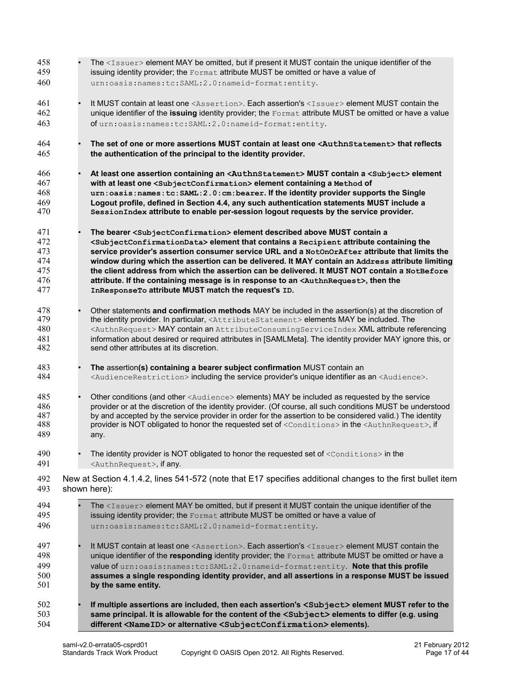| 458 | The <issuer> element MAY be omitted, but if present it MUST contain the unique identifier of the</issuer>                   |
|-----|-----------------------------------------------------------------------------------------------------------------------------|
| 459 | issuing identity provider; the Format attribute MUST be omitted or have a value of                                          |
| 460 | urn:oasis:names:tc:SAML:2.0:nameid-format:entity.                                                                           |
| 461 | It MUST contain at least one <assertion>. Each assertion's <issuer> element MUST contain the</issuer></assertion>           |
| 462 | unique identifier of the issuing identity provider; the Format attribute MUST be omitted or have a value                    |
| 463 | of urn:oasis:names:tc:SAML:2.0:nameid-format:entity.                                                                        |
| 464 | The set of one or more assertions MUST contain at least one <authnstatement> that reflects</authnstatement>                 |
| 465 | the authentication of the principal to the identity provider.                                                               |
| 466 | At least one assertion containing an <authnstatement>MUST contain a <subject> element</subject></authnstatement>            |
| 467 | with at least one <subjectconfirmation> element containing a Method of</subjectconfirmation>                                |
| 468 | urn: oasis: names: tc: SAML: 2.0: cm: bearer. If the identity provider supports the Single                                  |
| 469 | Logout profile, defined in Section 4.4, any such authentication statements MUST include a                                   |
| 470 | SessionIndex attribute to enable per-session logout requests by the service provider.                                       |
| 471 | The bearer <subjectconfirmation> element described above MUST contain a</subjectconfirmation>                               |
| 472 | <subjectconfirmationdata> element that contains a Recipient attribute containing the</subjectconfirmationdata>              |
| 473 | service provider's assertion consumer service URL and a NotOnOrAfter attribute that limits the                              |
| 474 | window during which the assertion can be delivered. It MAY contain an Address attribute limiting                            |
| 475 | the client address from which the assertion can be delivered. It MUST NOT contain a NotBefore                               |
| 476 | attribute. If the containing message is in response to an <authnrequest>, then the</authnrequest>                           |
| 477 | InResponseTo attribute MUST match the request's ID.                                                                         |
| 478 | Other statements and confirmation methods MAY be included in the assertion(s) at the discretion of                          |
| 479 | the identity provider. In particular, <attributestatement> elements MAY be included. The</attributestatement>               |
| 480 | <authnrequest> MAY contain an AttributeConsumingServiceIndex XML attribute referencing</authnrequest>                       |
| 481 | information about desired or required attributes in [SAMLMeta]. The identity provider MAY ignore this, or                   |
| 482 | send other attributes at its discretion.                                                                                    |
| 483 | The assertion(s) containing a bearer subject confirmation MUST contain an                                                   |
| 484 | <audiencerestriction> including the service provider's unique identifier as an <audience>.</audience></audiencerestriction> |
| 485 | Other conditions (and other <audience> elements) MAY be included as requested by the service</audience>                     |
| 486 | provider or at the discretion of the identity provider. (Of course, all such conditions MUST be understood                  |
| 487 | by and accepted by the service provider in order for the assertion to be considered valid.) The identity                    |
| 488 | provider is NOT obligated to honor the requested set of <conditions> in the <authnrequest>, if</authnrequest></conditions>  |
| 489 | any.                                                                                                                        |
| 490 | The identity provider is NOT obligated to honor the requested set of <conditions> in the</conditions>                       |
| 491 | <authnrequest>, if any.</authnrequest>                                                                                      |
| 492 | New at Section 4.1.4.2, lines 541-572 (note that E17 specifies additional changes to the first bullet item                  |
| 493 | shown here):                                                                                                                |
| 494 | The <issuer> element MAY be omitted, but if present it MUST contain the unique identifier of the</issuer>                   |
| 495 | issuing identity provider; the Format attribute MUST be omitted or have a value of                                          |
| 496 | urn:oasis:names:tc:SAML:2.0:nameid-format:entity.                                                                           |
| 497 | It MUST contain at least one <assertion>. Each assertion's <issuer> element MUST contain the</issuer></assertion>           |
| 498 | unique identifier of the responding identity provider; the Format attribute MUST be omitted or have a                       |
| 499 | value of urn: oasis: names: tc: SAML: 2.0: nameid-format: entity. Note that this profile                                    |
| 500 | assumes a single responding identity provider, and all assertions in a response MUST be issued                              |
| 501 | by the same entity.                                                                                                         |
| 502 | If multiple assertions are included, then each assertion's <subject> element MUST refer to the</subject>                    |
| 503 | same principal. It is allowable for the content of the <subject> elements to differ (e.g. using</subject>                   |
| 504 | different <nameid> or alternative <subjectconfirmation>elements).</subjectconfirmation></nameid>                            |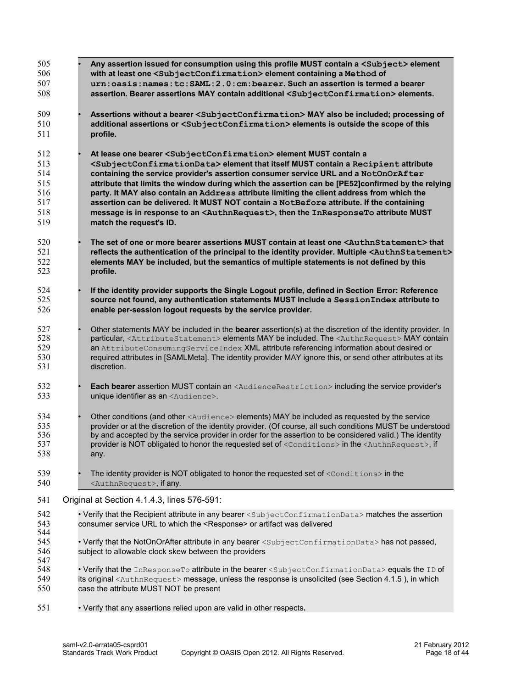<span id="page-17-0"></span>

| 505<br>506<br>507<br>508                             |  | Any assertion issued for consumption using this profile MUST contain a <subject> element<br/>with at least one <subjectconfirmation> element containing a Method of<br/>urn: oasis: names: tc: SAML: 2.0: cm: bearer. Such an assertion is termed a bearer<br/>assertion. Bearer assertions MAY contain additional <subjectconfirmation>elements.</subjectconfirmation></subjectconfirmation></subject>                                                                                                                                                                                                                                                                                                                         |
|------------------------------------------------------|--|---------------------------------------------------------------------------------------------------------------------------------------------------------------------------------------------------------------------------------------------------------------------------------------------------------------------------------------------------------------------------------------------------------------------------------------------------------------------------------------------------------------------------------------------------------------------------------------------------------------------------------------------------------------------------------------------------------------------------------|
| 509<br>510<br>511                                    |  | Assertions without a bearer <subjectconfirmation>MAY also be included; processing of<br/>additional assertions or <subjectconfirmation> elements is outside the scope of this<br/>profile.</subjectconfirmation></subjectconfirmation>                                                                                                                                                                                                                                                                                                                                                                                                                                                                                          |
| 512<br>513<br>514<br>515<br>516<br>517<br>518<br>519 |  | At lease one bearer <subjectconfirmation>element MUST contain a<br/><subjectconfirmationdata> element that itself MUST contain a Recipient attribute<br/>containing the service provider's assertion consumer service URL and a NotOnOrAfter<br/>attribute that limits the window during which the assertion can be [PE52]confirmed by the relying<br/>party. It MAY also contain an Address attribute limiting the client address from which the<br/>assertion can be delivered. It MUST NOT contain a NotBefore attribute. If the containing<br/>message is in response to an <authnrequest>, then the InResponseTo attribute MUST<br/>match the request's ID.</authnrequest></subjectconfirmationdata></subjectconfirmation> |
| 520<br>521<br>522<br>523                             |  | The set of one or more bearer assertions MUST contain at least one <authnstatement> that<br/>reflects the authentication of the principal to the identity provider. Multiple <authnstatement><br/>elements MAY be included, but the semantics of multiple statements is not defined by this<br/>profile.</authnstatement></authnstatement>                                                                                                                                                                                                                                                                                                                                                                                      |
| 524<br>525<br>526                                    |  | If the identity provider supports the Single Logout profile, defined in Section Error: Reference<br>source not found, any authentication statements MUST include a SessionIndex attribute to<br>enable per-session logout requests by the service provider.                                                                                                                                                                                                                                                                                                                                                                                                                                                                     |
| 527<br>528<br>529<br>530<br>531                      |  | Other statements MAY be included in the <b>bearer</b> assertion(s) at the discretion of the identity provider. In<br>particular, <attributestatement> elements MAY be included. The <authnrequest> MAY contain<br/>an AttributeConsumingServiceIndex XML attribute referencing information about desired or<br/>required attributes in [SAMLMeta]. The identity provider MAY ignore this, or send other attributes at its<br/>discretion.</authnrequest></attributestatement>                                                                                                                                                                                                                                                   |
| 532<br>533                                           |  | Each bearer assertion MUST contain an <audiencerestriction> including the service provider's<br/>unique identifier as an <audience>.</audience></audiencerestriction>                                                                                                                                                                                                                                                                                                                                                                                                                                                                                                                                                           |
| 534<br>535<br>536<br>537<br>538                      |  | Other conditions (and other <audience> elements) MAY be included as requested by the service<br/>provider or at the discretion of the identity provider. (Of course, all such conditions MUST be understood<br/>by and accepted by the service provider in order for the assertion to be considered valid.) The identity<br/>provider is NOT obligated to honor the requested set of <conditions> in the <authnrequest>, if<br/>any.</authnrequest></conditions></audience>                                                                                                                                                                                                                                                     |
| 539<br>540                                           |  | The identity provider is NOT obligated to honor the requested set of <conditions> in the<br/><authnrequest>, if any.</authnrequest></conditions>                                                                                                                                                                                                                                                                                                                                                                                                                                                                                                                                                                                |
| 541                                                  |  | Original at Section 4.1.4.3, lines 576-591:                                                                                                                                                                                                                                                                                                                                                                                                                                                                                                                                                                                                                                                                                     |
| 542<br>543<br>544<br>545                             |  | • Verify that the Recipient attribute in any bearer <subjectconfirmationdata> matches the assertion<br/>consumer service URL to which the <response> or artifact was delivered<br/>• Verify that the NotOnOrAfter attribute in any bearer <subjectconfirmationdata> has not passed,</subjectconfirmationdata></response></subjectconfirmationdata>                                                                                                                                                                                                                                                                                                                                                                              |
| 546<br>547                                           |  | subject to allowable clock skew between the providers                                                                                                                                                                                                                                                                                                                                                                                                                                                                                                                                                                                                                                                                           |
| 548<br>549<br>550                                    |  | . Verify that the InResponseTo attribute in the bearer <subjectconfirmationdata> equals the ID of<br/>its original <authnrequest> message, unless the response is unsolicited (see Section 4.1.5), in which<br/>case the attribute MUST NOT be present</authnrequest></subjectconfirmationdata>                                                                                                                                                                                                                                                                                                                                                                                                                                 |
| 551                                                  |  | • Verify that any assertions relied upon are valid in other respects.                                                                                                                                                                                                                                                                                                                                                                                                                                                                                                                                                                                                                                                           |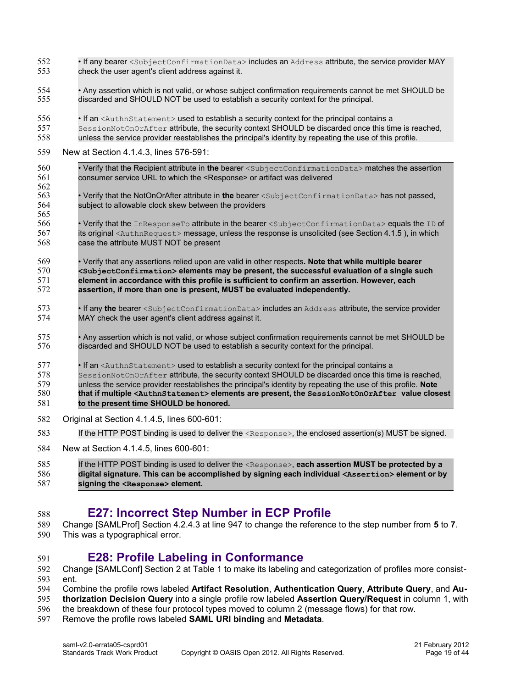- If any bearer <SubjectConfirmationData> includes an Address attribute, the service provider MAY check the user agent's client address against it. 552 553
- Any assertion which is not valid, or whose subject confirmation requirements cannot be met SHOULD be discarded and SHOULD NOT be used to establish a security context for the principal. 554 555
- If an <AuthnStatement> used to establish a security context for the principal contains a 556
- SessionNotOnOrAfter attribute, the security context SHOULD be discarded once this time is reached, unless the service provider reestablishes the principal's identity by repeating the use of this profile. 557 558
- New at Section 4.1.4.3, lines 576-591: 559
- Verify that the Recipient attribute in **the** bearer <SubjectConfirmationData> matches the assertion consumer service URL to which the <Response> or artifact was delivered 560 561 562
- Verify that the NotOnOrAfter attribute in **the** bearer <SubjectConfirmationData> has not passed, subject to allowable clock skew between the providers 563 564 565
- Verify that the InResponseTo attribute in the bearer <SubjectConfirmationData> equals the ID of its original <AuthnRequest> message, unless the response is unsolicited (see Section 4.1.5 ), in which case the attribute MUST NOT be present 566 567 568
- Verify that any assertions relied upon are valid in other respects**. Note that while multiple bearer <SubjectConfirmation> elements may be present, the successful evaluation of a single such element in accordance with this profile is sufficient to confirm an assertion. However, each assertion, if more than one is present, MUST be evaluated independently.** 569 570 571 572
- If any **the** bearer <SubjectConfirmationData> includes an Address attribute, the service provider MAY check the user agent's client address against it. 573 574
- Any assertion which is not valid, or whose subject confirmation requirements cannot be met SHOULD be discarded and SHOULD NOT be used to establish a security context for the principal. 575 576
- If an <AuthnStatement> used to establish a security context for the principal contains a SessionNotOnOrAfter attribute, the security context SHOULD be discarded once this time is reached. unless the service provider reestablishes the principal's identity by repeating the use of this profile. **Note that if multiple <AuthnStatement> elements are present, the SessionNotOnOrAfter value closest to the present time SHOULD be honored.** 577 578 579 580 581
- Original at Section 4.1.4.5, lines 600-601: 582
- If the HTTP POST binding is used to deliver the <Response>, the enclosed assertion(s) MUST be signed. 583
- New at Section 4.1.4.5, lines 600-601: 584

```
If the HTTP POST binding is used to deliver the <Response>, each assertion MUST be protected by a
          digital signature. This can be accomplished by signing each individual <Assertion> element or by
          signing the <Response> element.
585
586
587
```
#### **E27: Incorrect Step Number in ECP Profile** 588

- Change [\[SAMLProf\]](#page-6-5) Section 4.2.4.3 at line 947 to change the reference to the step number from **5** to **7**. 589
- This was a typographical error. 590

591

### <span id="page-18-1"></span><span id="page-18-0"></span>**E28: Profile Labeling in Conformance**

- Change [\[SAMLConf\]](#page-6-6) Section 2 at Table 1 to make its labeling and categorization of profiles more consistent. 592 593
- Combine the profile rows labeled **Artifact Resolution**, **Authentication Query**, **Attribute Query**, and **Au-**594
- **thorization Decision Query** into a single profile row labeled **Assertion Query/Request** in column 1, with 595
- the breakdown of these four protocol types moved to column 2 (message flows) for that row. 596
- Remove the profile rows labeled **SAML URI binding** and **Metadata**. 597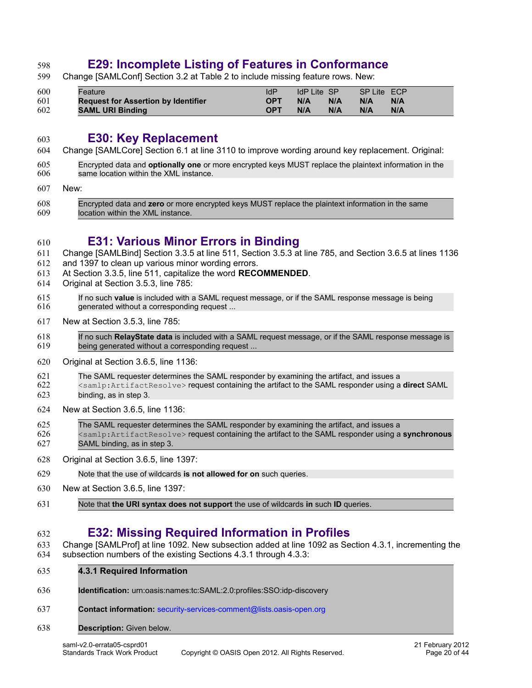# <span id="page-19-3"></span>**E29: Incomplete Listing of Features in Conformance**

Change [\[SAMLConf\]](#page-6-6) Section 3.2 at Table 2 to include missing feature rows. New: 599

| 600 | Feature                                    | ldP        | IdP Lite SP |     | SP Lite ECP |     |
|-----|--------------------------------------------|------------|-------------|-----|-------------|-----|
| 601 | <b>Request for Assertion by Identifier</b> | <b>OPT</b> | N/A         | N/A | N/A         | N/A |
| 602 | <b>SAML URI Binding</b>                    | <b>OPT</b> | N/A         | N/A | N/A         | N/A |

- <span id="page-19-2"></span>**E30: Key Replacement**
- Change [\[SAMLCore\]](#page-6-2) Section 6.1 at line 3110 to improve wording around key replacement. Original: 604
- Encrypted data and **optionally one** or more encrypted keys MUST replace the plaintext information in the same location within the XML instance. 605 606
- New: 607

598

603

610

Encrypted data and **zero** or more encrypted keys MUST replace the plaintext information in the same location within the XML instance. 608 609

### <span id="page-19-1"></span>**E31: Various Minor Errors in Binding**

- Change [\[SAMLBind\]](#page-6-3) Section 3.3.5 at line 511, Section 3.5.3 at line 785, and Section 3.6.5 at lines 1136 611
- and 1397 to clean up various minor wording errors. 612
- At Section 3.3.5, line 511, capitalize the word **RECOMMENDED**. 613
- Original at Section 3.5.3, line 785: 614
- If no such **value** is included with a SAML request message, or if the SAML response message is being generated without a corresponding request ... 615 616
- New at Section 3.5.3, line 785: 617
- If no such **RelayState data** is included with a SAML request message, or if the SAML response message is being generated without a corresponding request ... 618 619
- Original at Section 3.6.5, line 1136: 620
- The SAML requester determines the SAML responder by examining the artifact, and issues a 621
- <samlp:ArtifactResolve> request containing the artifact to the SAML responder using a **direct** SAML binding, as in step 3. 622 623
- New at Section 3.6.5, line 1136: 624
- The SAML requester determines the SAML responder by examining the artifact, and issues a <samlp:ArtifactResolve> request containing the artifact to the SAML responder using a **synchronous** SAML binding, as in step 3. 625 626 627
- Original at Section 3.6.5, line 1397: 628
- Note that the use of wildcards **is not allowed for on** such queries. 629
- New at Section 3.6.5, line 1397: 630
- Note that **the URI syntax does not support** the use of wildcards **in** such **ID** queries. 631

#### <span id="page-19-0"></span>**E32: Missing Required Information in Profiles** 632

- Change [\[SAMLProf\]](#page-6-5) at line 1092. New subsection added at line 1092 as Section 4.3.1, incrementing the subsection numbers of the existing Sections 4.3.1 through 4.3.3: 633 634
- **4.3.1 Required Information** 635
- **Identification:** urn:oasis:names:tc:SAML:2.0:profiles:SSO:idp-discovery 636
- **Contact information:** [security-services-comment@lists.oasis-open.org](mailto:security-services-comment@lists.oasis-open.org) 637

#### **Description:** Given below. 638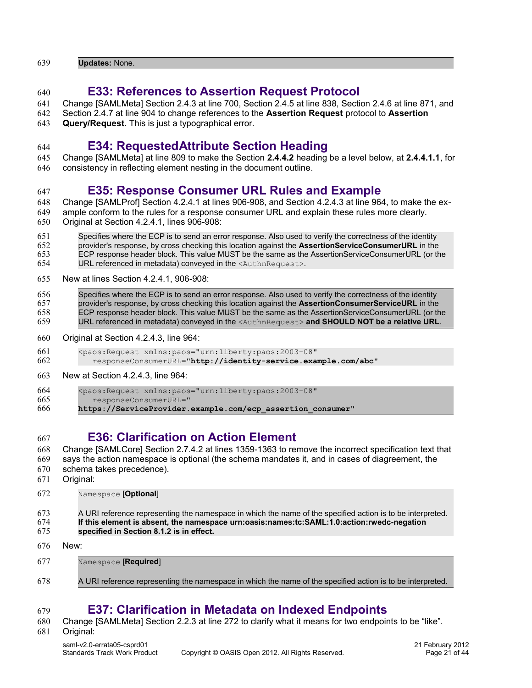**Updates:** None. 639

640

## <span id="page-20-3"></span>**E33: References to Assertion Request Protocol**

- Change [\[SAMLMeta\]](#page-6-4) Section 2.4.3 at line 700, Section 2.4.5 at line 838, Section 2.4.6 at line 871, and 641
- Section 2.4.7 at line 904 to change references to the **Assertion Request** protocol to **Assertion** 642

**Query/Request**. This is just a typographical error. 643

### 644

647

### <span id="page-20-2"></span>**E34: RequestedAttribute Section Heading**

Change [\[SAMLMeta\]](#page-6-4) at line 809 to make the Section **2.4.4.2** heading be a level below, at **2.4.4.1.1**, for consistency in reflecting element nesting in the document outline. 645 646

## <span id="page-20-1"></span>**E35: Response Consumer URL Rules and Example**

- Change [\[SAMLProf\]](#page-6-5) Section 4.2.4.1 at lines 906-908, and Section 4.2.4.3 at line 964, to make the ex-648
- ample conform to the rules for a response consumer URL and explain these rules more clearly. 649
- Original at Section 4.2.4.1, lines 906-908: 650
- Specifies where the ECP is to send an error response. Also used to verify the correctness of the identity provider's response, by cross checking this location against the **AssertionServiceConsumerURL** in the ECP response header block. This value MUST be the same as the AssertionServiceConsumerURL (or the 651 652 653
- URL referenced in metadata) conveyed in the <AuthnRequest>. 654
- New at lines Section 4.2.4.1, 906-908: 655
- Specifies where the ECP is to send an error response. Also used to verify the correctness of the identity provider's response, by cross checking this location against the **AssertionConsumerServiceURL** in the ECP response header block. This value MUST be the same as the AssertionServiceConsumerURL (or the URL referenced in metadata) conveyed in the <AuthnRequest> **and SHOULD NOT be a relative URL**. 656 657 658 659
- Original at Section 4.2.4.3, line 964: 660
- <paos:Request xmlns:paos="urn:liberty:paos:2003-08" 661
- responseConsumerURL="**http://identity-service.example.com/abc**" 662
- New at Section 4.2.4.3, line 964: 663

<paos:Request xmlns:paos="urn:liberty:paos:2003-08" responseConsumerURL=" 664 665

**https://ServiceProvider.example.com/ecp\_assertion\_consumer**" 666

#### <span id="page-20-0"></span>**E36: Clarification on Action Element** 667

- Change [\[SAMLCore\]](#page-6-2) Section 2.7.4.2 at lines 1359-1363 to remove the incorrect specification text that says the action namespace is optional (the schema mandates it, and in cases of diagreement, the schema takes precedence). Original: 668 669 670 671
- Namespace [**Optional**] 672

Namespace [**Required**]

| 673 | A URI reference representing the namespace in which the name of the specified action is to be interpreted. |
|-----|------------------------------------------------------------------------------------------------------------|
| 674 | If this element is absent, the namespace urn:oasis:names:tc:SAML:1.0:action:rwedc-negation                 |
| 675 | specified in Section 8.1.2 is in effect.                                                                   |

New: 676

677

679

A URI reference representing the namespace in which the name of the specified action is to be interpreted. 678

# <span id="page-20-4"></span>**E37: Clarification in Metadata on Indexed Endpoints**

Change [\[SAMLMeta\]](#page-6-4) Section 2.2.3 at line 272 to clarify what it means for two endpoints to be "like". 680

Original: 681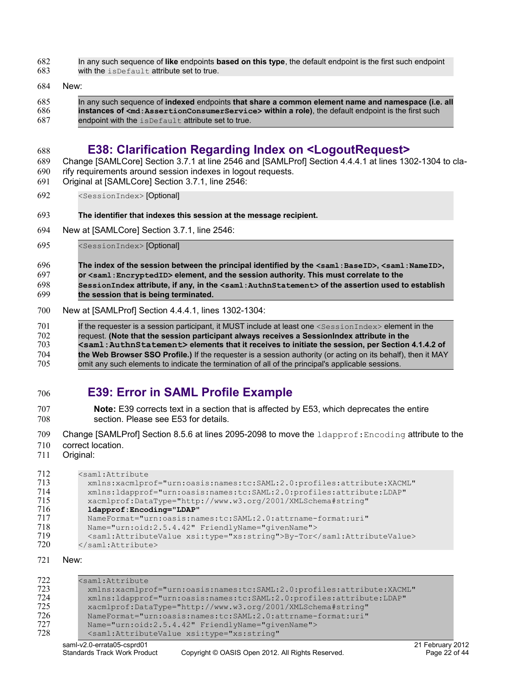In any such sequence of **like** endpoints **based on this type**, the default endpoint is the first such endpoint 682

with the isDefault attribute set to true. 683

#### New: 684

688

In any such sequence of **indexed** endpoints **that share a common element name and namespace (i.e. all instances of <md:AssertionConsumerService> within a role)**, the default endpoint is the first such endpoint with the isDefault attribute set to true. 685 686 687

# <span id="page-21-1"></span>**E38: Clarification Regarding Index on <LogoutRequest>**

Change [\[SAMLCore\]](#page-6-2) Section 3.7.1 at line 2546 and [\[SAMLProf\]](#page-6-5) Section 4.4.4.1 at lines 1302-1304 to clarify requirements around session indexes in logout requests. 689 690

- Original at [\[SAMLCore\]](#page-6-2) Section 3.7.1, line 2546: 691
- <SessionIndex> [Optional] 692
- **The identifier that indexes this session at the message recipient.** 693
- New at [\[SAMLCore\]](#page-6-2) Section 3.7.1, line 2546: 694

<SessionIndex> [Optional] 695

#### **The index of the session between the principal identified by the <saml:BaseID>, <saml:NameID>, or <saml:EncryptedID> element, and the session authority. This must correlate to the SessionIndex attribute, if any, in the <saml:AuthnStatement> of the assertion used to establish the session that is being terminated.** 696 697 698 699

New at [\[SAMLProf\]](#page-6-5) Section 4.4.4.1, lines 1302-1304: 700

| 701 | If the requester is a session participant, it MUST include at least one <sessionindex>element in the</sessionindex> |
|-----|---------------------------------------------------------------------------------------------------------------------|
| 702 | request. (Note that the session participant always receives a SessionIndex attribute in the                         |
| 703 | <saml: authnstatement=""> elements that it receives to initiate the session, per Section 4.1.4.2 of</saml:>         |
| 704 | the Web Browser SSO Profile.) If the requester is a session authority (or acting on its behalf), then it MAY        |
| 705 | omit any such elements to indicate the termination of all of the principal's applicable sessions.                   |

#### <span id="page-21-0"></span>**E39: Error in SAML Profile Example** 706

- **Note:** E39 corrects text in a section that is affected by E53, which deprecates the entire section. Please see E53 for details. 707 708
- Change [\[SAMLProf\]](#page-6-5) Section 8.5.6 at lines 2095-2098 to move the ldapprof:Encoding attribute to the 709
- correct location. 710
- Original: 711

| 712 | <saml:attribute< th=""></saml:attribute<>                              |
|-----|------------------------------------------------------------------------|
| 713 | xmlns:xacmlprof="urn:oasis:names:tc:SAML:2.0:profiles:attribute:XACML" |
| 714 | xmlns:ldapprof="urn:oasis:names:tc:SAML:2.0:profiles:attribute:LDAP"   |
| 715 | xacmlprof:DataType="http://www.w3.org/2001/XMLSchema#string"           |
| 716 | ldapprof: Encoding="LDAP"                                              |
| 717 | NameFormat="urn:oasis:names:tc:SAML:2.0:attrname-format:uri"           |
| 718 | Name="urn:oid:2.5.4.42" FriendlyName="givenName">                      |
| 719 | <saml:attributevalue xsi:type="xs:string">By-Tor</saml:attributevalue> |
| 720 |                                                                        |

New: 721

| 722 | <saml:attribute< th=""></saml:attribute<>                                   |
|-----|-----------------------------------------------------------------------------|
| 723 | xmlns:xacmlprof="urn:oasis:names:tc:SAML:2.0:profiles:attribute:XACML"      |
| 724 | xmlns:ldapprof="urn:oasis:names:tc:SAML:2.0:profiles:attribute:LDAP"        |
| 725 | xacmlprof:DataType="http://www.w3.org/2001/XMLSchema#string"                |
| 726 | NameFormat="urn:oasis:names:tc:SAML:2.0:attrname-format:uri"                |
| 727 | Name="urn:oid:2.5.4.42" FriendlyName="givenName">                           |
| 728 | <saml:attributevalue <="" td="" xsi:type="xs:string"></saml:attributevalue> |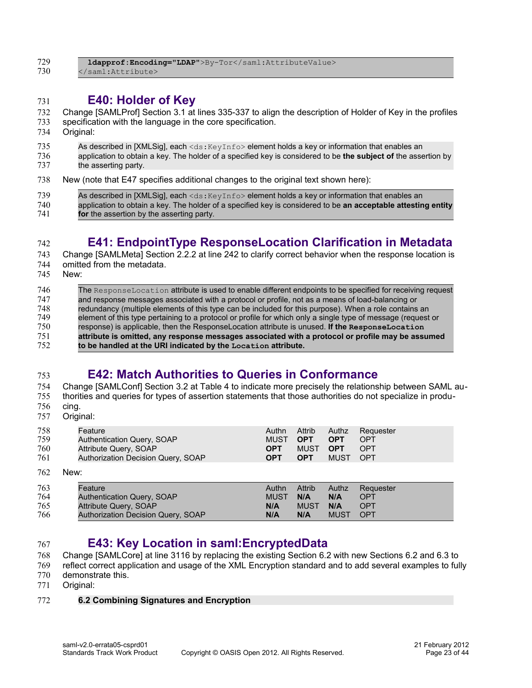| 729 | \ldapprof:Encoding="LDAP">By-Tor\ |
|-----|-----------------------------------|
| 730 |                                   |

#### <span id="page-22-3"></span>**E40: Holder of Key** 731

Change [\[SAMLProf\]](#page-6-5) Section 3.1 at lines 335-337 to align the description of Holder of Key in the profiles 732

- specification with the language in the core specification. 733
- Original: 734
- As described in [XMLSig], each <ds: KeyInfo> element holds a key or information that enables an 735
- application to obtain a key. The holder of a specified key is considered to be **the subject of** the assertion by the asserting party. 736 737
- New (note that E47 specifies additional changes to the original text shown here): 738

| 739 | As described in [XMLSig], each $\langle ds : K(y) \rangle$ element holds a key or information that enables an |
|-----|---------------------------------------------------------------------------------------------------------------|
| 740 | application to obtain a key. The holder of a specified key is considered to be an acceptable attesting entity |
| 741 | for the assertion by the asserting party.                                                                     |

# <span id="page-22-2"></span>**E41: EndpointType ResponseLocation Clarification in Metadata**

- Change [\[SAMLMeta\]](#page-6-4) Section 2.2.2 at line 242 to clarify correct behavior when the response location is omitted from the metadata. 743 744
- New: 745

742

| 746 | The ResponseLocation attribute is used to enable different endpoints to be specified for receiving request   |
|-----|--------------------------------------------------------------------------------------------------------------|
| 747 | and response messages associated with a protocol or profile, not as a means of load-balancing or             |
| 748 | redundancy (multiple elements of this type can be included for this purpose). When a role contains an        |
| 749 | element of this type pertaining to a protocol or profile for which only a single type of message (request or |
| 750 | response) is applicable, then the ResponseLocation attribute is unused. If the ResponseLocation              |
| 751 | attribute is omitted, any response messages associated with a protocol or profile may be assumed             |
| 752 | to be handled at the URI indicated by the Location attribute.                                                |
|     |                                                                                                              |

### <span id="page-22-1"></span>**E42: Match Authorities to Queries in Conformance**

#### Change [\[SAMLConf\]](#page-6-6) Section 3.2 at Table 4 to indicate more precisely the relationship between SAML authorities and queries for types of assertion statements that those authorities do not specialize in produ-754 755

cing. 756

753

Original: 757

| 758 | Feature                                   | Authn       | Attrib      | Authz       | Requester  |
|-----|-------------------------------------------|-------------|-------------|-------------|------------|
| 759 | Authentication Query, SOAP                | <b>MUST</b> | <b>OPT</b>  | <b>OPT</b>  | OPT        |
| 760 | Attribute Query, SOAP                     | <b>OPT</b>  | MUST        | <b>OPT</b>  | <b>OPT</b> |
| 761 | Authorization Decision Query, SOAP        | <b>OPT</b>  | <b>OPT</b>  | <b>MUST</b> | OPT        |
| 762 | New:                                      |             |             |             |            |
| 763 | Feature                                   | Authn       | Attrib      | Authz       | Requester  |
| 764 | Authentication Query, SOAP                | <b>MUST</b> | N/A         | N/A         | <b>OPT</b> |
| 765 | <b>Attribute Query, SOAP</b>              | N/A         | <b>MUST</b> | N/A         | <b>OPT</b> |
| 766 | <b>Authorization Decision Query, SOAP</b> | N/A         | N/A         | <b>MUST</b> | <b>OPT</b> |

#### <span id="page-22-0"></span>**E43: Key Location in saml:EncryptedData** 767

Change [\[SAMLCore\]](#page-6-2) at line 3116 by replacing the existing Section 6.2 with new Sections 6.2 and 6.3 to 768

- reflect correct application and usage of the XML Encryption standard and to add several examples to fully 769
- demonstrate this. 770
- Original: 771

#### **6.2 Combining Signatures and Encryption** 772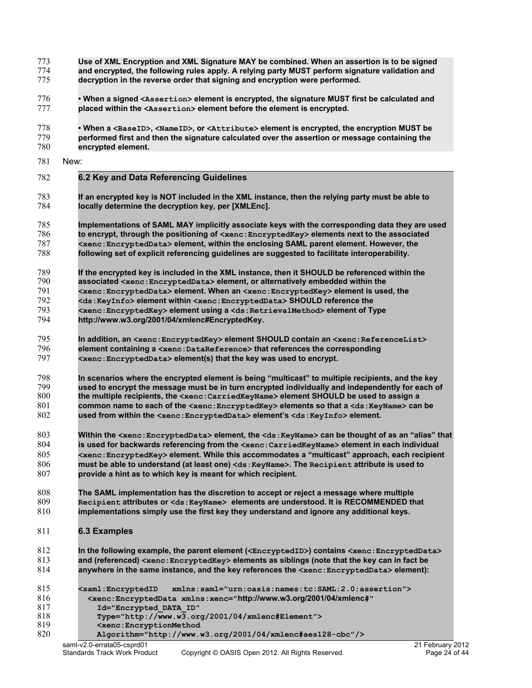- **Use of XML Encryption and XML Signature MAY be combined. When an assertion is to be signed and encrypted, the following rules apply. A relying party MUST perform signature validation and decryption in the reverse order that signing and encryption were performed. • When a signed <Assertion> element is encrypted, the signature MUST first be calculated and placed within the <Assertion> element before the element is encrypted. • When a <BaseID>, <NameID>, or <Attribute> element is encrypted, the encryption MUST be** 773 774 775 776 777 778
- **performed first and then the signature calculated over the assertion or message containing the encrypted element.** 779 780
- New: 781
- **6.2 Key and Data Referencing Guidelines** 782
- **If an encrypted key is NOT included in the XML instance, then the relying party must be able to locally determine the decryption key, per [XMLEnc].** 783 784
- **Implementations of SAML MAY implicitly associate keys with the corresponding data they are used to encrypt, through the positioning of <xenc:EncryptedKey> elements next to the associated <xenc:EncryptedData> element, within the enclosing SAML parent element. However, the following set of explicit referencing guidelines are suggested to facilitate interoperability.** 785 786 787 788
- **If the encrypted key is included in the XML instance, then it SHOULD be referenced within the associated <xenc:EncryptedData> element, or alternatively embedded within the <xenc:EncryptedData> element. When an <xenc:EncryptedKey> element is used, the <ds:KeyInfo> element within <xenc:EncryptedData> SHOULD reference the** 789 790 791 792
- **<xenc:EncryptedKey> element using a <ds:RetrievalMethod> element of Type [http://www.w3.org/2001/04/xmlenc#EncryptedKey.](http://www.w3.org/2001/04/xmlenc#EncryptedKey)** 793 794
- **In addition, an <xenc:EncryptedKey> element SHOULD contain an <xenc:ReferenceList> element containing a <xenc:DataReference> that references the corresponding <xenc:EncryptedData> element(s) that the key was used to encrypt.** 795 796 797
- **In scenarios where the encrypted element is being "multicast" to multiple recipients, and the key used to encrypt the message must be in turn encrypted individually and independently for each of the multiple recipients, the <xenc:CarriedKeyName> element SHOULD be used to assign a common name to each of the <xenc:EncryptedKey> elements so that a <ds:KeyName> can be used from within the <xenc:EncryptedData> element's <ds:KeyInfo> element.** 798 799 800 801 802
- **Within the <xenc:EncryptedData> element, the <ds:KeyName> can be thought of as an "alias" that is used for backwards referencing from the <xenc:CarriedKeyName> element in each individual <xenc:EncryptedKey> element. While this accommodates a "multicast" approach, each recipient must be able to understand (at least one) <ds:KeyName>. The Recipient attribute is used to provide a hint as to which key is meant for which recipient.** 803 804 805 806 807
- **The SAML implementation has the discretion to accept or reject a message where multiple Recipient attributes or <ds:KeyName> elements are understood. It is RECOMMENDED that implementations simply use the first key they understand and ignore any additional keys.** 808 809 810
- **6.3 Examples** 811
- **In the following example, the parent element (<EncryptedID>) contains <xenc:EncryptedData> and (referenced) <xenc:EncryptedKey> elements as siblings (note that the key can in fact be anywhere in the same instance, and the key references the <xenc:EncryptedData> element):** 812 813 814

| 815 | xmlns:saml="urn:oasis:names:tc:SAML:2.0:assertion"><br><saml:encryptedid< th=""><th></th></saml:encryptedid<> |  |
|-----|---------------------------------------------------------------------------------------------------------------|--|
| 816 | <xenc:encrypteddata <="" td="" xmlns:xenc="http://www.w3.org/2001/04/xmlenc#"><td></td></xenc:encrypteddata>  |  |
| 817 | Id="Encrypted DATA ID"                                                                                        |  |
| 818 | Type="http://www.w3.org/2001/04/xmlenc#Element">                                                              |  |
| 819 | <xenc:encryptionmethod< td=""><td></td></xenc:encryptionmethod<>                                              |  |
| 820 | Algorithm="http://www.w3.org/2001/04/xmlenc#aes128-cbc"/>                                                     |  |
|     | saml-v2.0-errata05-csprd01<br>21 February 2012                                                                |  |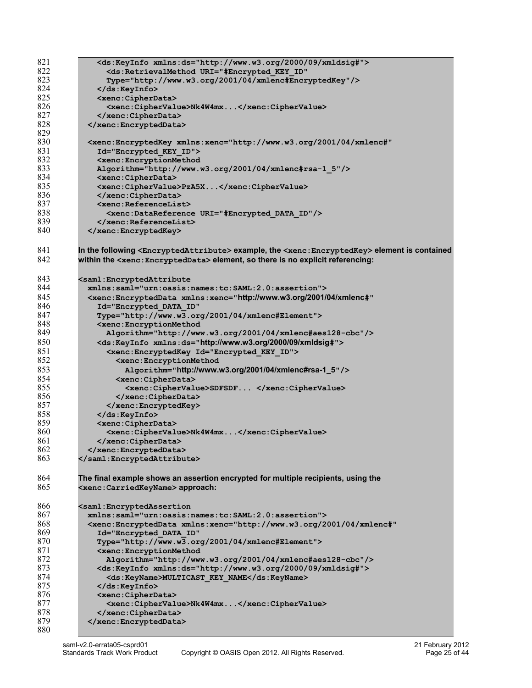| 821 | <ds:keyinfo xmlns:ds="http://www.w3.org/2000/09/xmldsig#"></ds:keyinfo>                                                             |
|-----|-------------------------------------------------------------------------------------------------------------------------------------|
| 822 | <ds:retrievalmethod <="" td="" uri="#Encrypted KEY ID"></ds:retrievalmethod>                                                        |
| 823 | Type="http://www.w3.org/2001/04/xmlenc#EncryptedKey"/>                                                                              |
| 824 |                                                                                                                                     |
| 825 | <xenc:cipherdata></xenc:cipherdata>                                                                                                 |
| 826 |                                                                                                                                     |
|     | <xenc:ciphervalue>Nk4W4mx</xenc:ciphervalue>                                                                                        |
| 827 |                                                                                                                                     |
| 828 |                                                                                                                                     |
| 829 |                                                                                                                                     |
| 830 | <xenc:encryptedkey <="" td="" xmlns:xenc="http://www.w3.org/2001/04/xmlenc#"></xenc:encryptedkey>                                   |
| 831 | Id="Encrypted KEY ID">                                                                                                              |
| 832 |                                                                                                                                     |
|     | <xenc:encryptionmethod< td=""></xenc:encryptionmethod<>                                                                             |
| 833 | Algorithm="http://www.w3.org/2001/04/xmlenc#rsa-1 5"/>                                                                              |
| 834 | <xenc:cipherdata></xenc:cipherdata>                                                                                                 |
| 835 | <xenc:ciphervalue>PzA5X</xenc:ciphervalue>                                                                                          |
| 836 |                                                                                                                                     |
| 837 | <xenc:referencelist></xenc:referencelist>                                                                                           |
| 838 | <xenc:datareference uri="#Encrypted DATA ID"></xenc:datareference>                                                                  |
| 839 |                                                                                                                                     |
|     |                                                                                                                                     |
| 840 |                                                                                                                                     |
|     |                                                                                                                                     |
| 841 | In the following <encryptedattribute> example, the &lt;<math>x</math>enc:EncryptedKey&gt; element is contained</encryptedattribute> |
| 842 | within the <xenc: encrypteddata=""> element, so there is no explicit referencing:</xenc:>                                           |
|     |                                                                                                                                     |
| 843 | <saml:encryptedattribute< td=""></saml:encryptedattribute<>                                                                         |
| 844 | xmlns:saml="urn:oasis:names:tc:SAML:2.0:assertion">                                                                                 |
| 845 |                                                                                                                                     |
|     | <xenc:encrypteddata <="" td="" xmlns:xenc="http://www.w3.org/2001/04/xmlenc#"></xenc:encrypteddata>                                 |
| 846 | Id="Encrypted DATA ID"                                                                                                              |
| 847 | Type="http://www.w3.org/2001/04/xmlenc#Element">                                                                                    |
| 848 | <xenc: encryptionmethod<="" td=""></xenc:>                                                                                          |
| 849 | Algorithm="http://www.w3.org/2001/04/xmlenc#aes128-cbc"/>                                                                           |
| 850 | <ds:keyinfo xmlns:ds="http://www.w3.org/2000/09/xmldsig#"></ds:keyinfo>                                                             |
| 851 | <xenc: encryptedkey="" id="Encrypted KEY ID"></xenc:>                                                                               |
|     |                                                                                                                                     |
| 852 | <xenc: encryptionmethod<="" td=""></xenc:>                                                                                          |
| 853 | Algorithm="http://www.w3.org/2001/04/xmlenc#rsa-1_5"/>                                                                              |
| 854 | <xenc:cipherdata></xenc:cipherdata>                                                                                                 |
| 855 | <xenc:ciphervalue>SDFSDF </xenc:ciphervalue>                                                                                        |
| 856 |                                                                                                                                     |
| 857 |                                                                                                                                     |
| 858 |                                                                                                                                     |
|     |                                                                                                                                     |
| 859 | <xenc:cipherdata></xenc:cipherdata>                                                                                                 |
| 860 | <xenc:ciphervalue>Nk4W4mx</xenc:ciphervalue>                                                                                        |
| 861 |                                                                                                                                     |
| 862 |                                                                                                                                     |
| 863 |                                                                                                                                     |
|     |                                                                                                                                     |
| 864 | The final example shows an assertion encrypted for multiple recipients, using the                                                   |
|     |                                                                                                                                     |
| 865 | <xenc:carriedkeyname>approach:</xenc:carriedkeyname>                                                                                |
|     |                                                                                                                                     |
| 866 | <saml:encryptedassertion< td=""></saml:encryptedassertion<>                                                                         |
| 867 | xmlns:saml="urn:oasis:names:tc:SAML:2.0:assertion">                                                                                 |
| 868 | <xenc:encrypteddata <="" td="" xmlns:xenc="http://www.w3.org/2001/04/xmlenc#"></xenc:encrypteddata>                                 |
| 869 | Id="Encrypted DATA ID"                                                                                                              |
| 870 | Type="http://www.w3.org/2001/04/xmlenc#Element">                                                                                    |
| 871 | <xenc: encryptionmethod<="" td=""></xenc:>                                                                                          |
| 872 |                                                                                                                                     |
|     | Algorithm="http://www.w3.org/2001/04/xmlenc#aes128-cbc"/>                                                                           |
| 873 | <ds:keyinfo xmlns:ds="http://www.w3.org/2000/09/xmldsig#"></ds:keyinfo>                                                             |
| 874 | <ds:keyname>MULTICAST KEY NAME</ds:keyname>                                                                                         |
| 875 |                                                                                                                                     |
| 876 | <xenc:cipherdata></xenc:cipherdata>                                                                                                 |
| 877 | <xenc:ciphervalue>Nk4W4mx</xenc:ciphervalue>                                                                                        |
| 878 |                                                                                                                                     |
|     |                                                                                                                                     |
| 879 |                                                                                                                                     |
| 880 |                                                                                                                                     |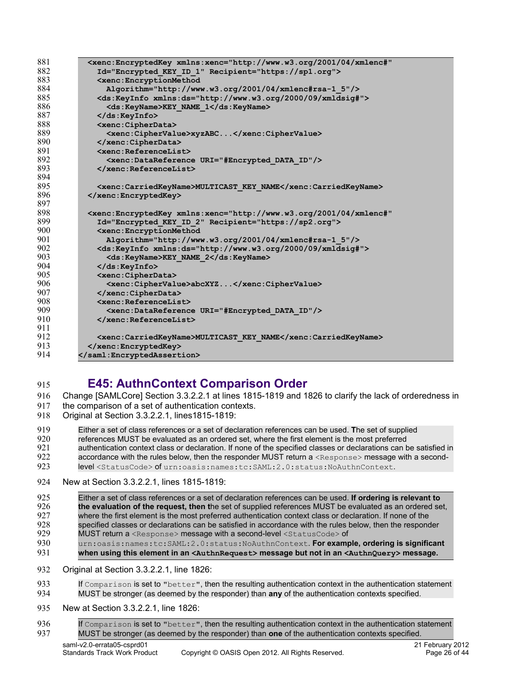| 881 | <xenc:encryptedkey <="" td="" xmlns:xenc="http://www.w3.org/2001/04/xmlenc#"></xenc:encryptedkey> |
|-----|---------------------------------------------------------------------------------------------------|
| 882 | Id="Encrypted KEY ID 1" Recipient="https://sp1.org">                                              |
| 883 | <xenc:encryptionmethod< td=""></xenc:encryptionmethod<>                                           |
| 884 | Algorithm="http://www.w3.org/2001/04/xmlenc#rsa-1 5"/>                                            |
| 885 | <ds:keyinfo xmlns:ds="http://www.w3.org/2000/09/xmldsiq#"></ds:keyinfo>                           |
| 886 | <ds:keyname>KEY NAME 1</ds:keyname>                                                               |
| 887 | $\langle$ /ds:KeyInfo>                                                                            |
| 888 | <xenc:cipherdata></xenc:cipherdata>                                                               |
| 889 | <xenc:ciphervalue>xyzABC</xenc:ciphervalue>                                                       |
| 890 |                                                                                                   |
| 891 | <xenc:referencelist></xenc:referencelist>                                                         |
| 892 | <xenc:datareference uri="#Encrypted DATA ID"></xenc:datareference>                                |
| 893 | $\langle$ /xenc:ReferenceList>                                                                    |
| 894 |                                                                                                   |
| 895 | <xenc:carriedkeyname>MULTICAST KEY NAME</xenc:carriedkeyname>                                     |
| 896 |                                                                                                   |
| 897 |                                                                                                   |
| 898 | <xenc:encryptedkey <="" td="" xmlns:xenc="http://www.w3.org/2001/04/xmlenc#"></xenc:encryptedkey> |
| 899 | Id="Encrypted KEY ID 2" Recipient="https://sp2.org">                                              |
| 900 | <xenc:encryptionmethod< td=""></xenc:encryptionmethod<>                                           |
| 901 | $\texttt{Alqorithm="http://www.w3.org/2001/04/xmlenc#rsa-1 5*/>}$                                 |
| 902 | <ds:keyinfo xmlns:ds="http://www.w3.org/2000/09/xmldsiq#"></ds:keyinfo>                           |
| 903 | <ds:keyname>KEY NAME 2</ds:keyname>                                                               |
| 904 | $\langle$ /ds:KeyInfo>                                                                            |
| 905 | <xenc:cipherdata></xenc:cipherdata>                                                               |
| 906 | <xenc:ciphervalue>abcXYZ</xenc:ciphervalue>                                                       |
| 907 |                                                                                                   |
| 908 | <xenc:referencelist></xenc:referencelist>                                                         |
| 909 | <xenc:datareference uri="#Encrypted DATA ID"></xenc:datareference>                                |
| 910 | $\langle$ /xenc:ReferenceList>                                                                    |
| 911 |                                                                                                   |
| 912 | <xenc:carriedkeyname>MULTICAST KEY NAME</xenc:carriedkeyname>                                     |
| 913 |                                                                                                   |
| 914 |                                                                                                   |

#### <span id="page-25-0"></span>**E45: AuthnContext Comparison Order** 915

Change [\[SAMLCore\]](#page-6-2) Section 3.3.2.2.1 at lines 1815-1819 and 1826 to clarify the lack of orderedness in 916

- the comparison of a set of authentication contexts. 917
- Original at Section 3.3.2.2.1, lines1815-1819: 918

Either a set of class references or a set of declaration references can be used. **T**he set of supplied 919

- references MUST be evaluated as an ordered set, where the first element is the most preferred 920
- authentication context class or declaration. If none of the specified classes or declarations can be satisfied in accordance with the rules below, then the responder MUST return a <Response> message with a second-921 922
- level <StatusCode> of urn:oasis:names:tc:SAML:2.0:status:NoAuthnContext. 923
- New at Section 3.3.2.2.1, lines 1815-1819: 924
- Either a set of class references or a set of declaration references can be used. **If ordering is relevant to the evaluation of the request, then t**he set of supplied references MUST be evaluated as an ordered set, where the first element is the most preferred authentication context class or declaration. If none of the specified classes or declarations can be satisfied in accordance with the rules below, then the responder MUST return a <Response> message with a second-level <StatusCode> of urn:oasis:names:tc:SAML:2.0:status:NoAuthnContext. **For example, ordering is significant** 925 926 927 928 929 930
- **when using this element in an <AuthnRequest> message but not in an <AuthnQuery> message.** 931
- Original at Section 3.3.2.2.1, line 1826: 932

```
If Comparison is set to "better", then the resulting authentication context in the authentication statement
           MUST be stronger (as deemed by the responder) than any of the authentication contexts specified.
933
934
```
- New at Section 3.3.2.2.1, line 1826: 935
- If Comparison is set to "better", then the resulting authentication context in the authentication statement MUST be stronger (as deemed by the responder) than **one** of the authentication contexts specified. 936 937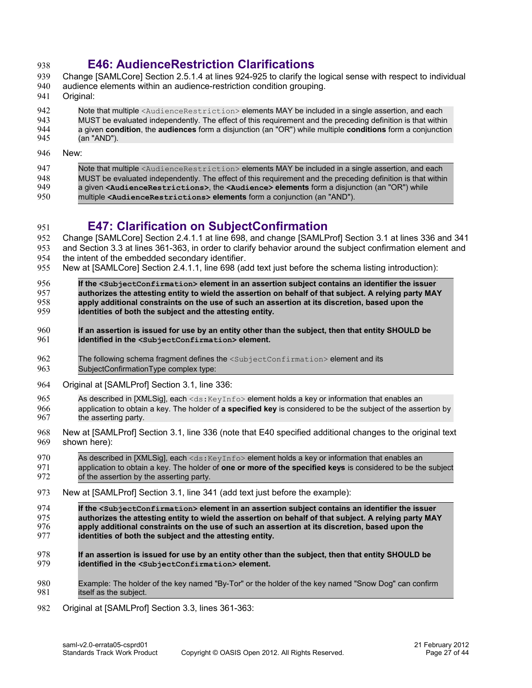#### <span id="page-26-1"></span>**E46: AudienceRestriction Clarifications** 938

- Change [\[SAMLCore\]](#page-6-2) Section 2.5.1.4 at lines 924-925 to clarify the logical sense with respect to individual 939
- audience elements within an audience-restriction condition grouping. 940
- Original: 941
- Note that multiple <AudienceRestriction> elements MAY be included in a single assertion, and each MUST be evaluated independently. The effect of this requirement and the preceding definition is that within 942 943
- a given **condition**, the **audiences** form a disjunction (an "OR") while multiple **conditions** form a conjunction (an "AND"). 944 945
- New: 946

951

Note that multiple <AudienceRestriction> elements MAY be included in a single assertion, and each MUST be evaluated independently. The effect of this requirement and the preceding definition is that within a given **<AudienceRestrictions>**, the **<Audience> elements** form a disjunction (an "OR") while multiple **<AudienceRestrictions> elements** form a conjunction (an "AND"). 947 948 949 950

# <span id="page-26-0"></span>**E47: Clarification on SubjectConfirmation**

Change [\[SAMLCore\]](#page-6-2) Section 2.4.1.1 at line 698, and change [\[SAMLProf\]](#page-6-5) Section 3.1 at lines 336 and 341 and Section 3.3 at lines 361-363, in order to clarify behavior around the subject confirmation element and 952 953

- the intent of the embedded secondary identifier. 954
- New at [\[SAMLCore\]](#page-6-2) Section 2.4.1.1, line 698 (add text just before the schema listing introduction): 955
- **If the <SubjectConfirmation> element in an assertion subject contains an identifier the issuer authorizes the attesting entity to wield the assertion on behalf of that subject. A relying party MAY apply additional constraints on the use of such an assertion at its discretion, based upon the identities of both the subject and the attesting entity.** 956 957 958 959
- **If an assertion is issued for use by an entity other than the subject, then that entity SHOULD be identified in the <SubjectConfirmation> element.** 960 961
- The following schema fragment defines the <SubjectConfirmation> element and its SubjectConfirmationType complex type: 962 963
- Original at [\[SAMLProf\]](#page-6-5) Section 3.1, line 336: 964
- As described in [XMLSig], each  $\langle ds : KeyInf \circ \rangle$  element holds a key or information that enables an 965
- application to obtain a key. The holder of **a specified key** is considered to be the subject of the assertion by the asserting party. 966 967
- New at [\[SAMLProf\]](#page-6-5) Section 3.1, line 336 (note that E40 specified additional changes to the original text shown here): 968 969
- As described in [XMLSig], each <ds: KeyInfo> element holds a key or information that enables an application to obtain a key. The holder of **one or more of the specified keys** is considered to be the subject of the assertion by the asserting party. 970 971 972
- New at [\[SAMLProf\]](#page-6-5) Section 3.1, line 341 (add text just before the example): 973
- **If the <SubjectConfirmation> element in an assertion subject contains an identifier the issuer authorizes the attesting entity to wield the assertion on behalf of that subject. A relying party MAY apply additional constraints on the use of such an assertion at its discretion, based upon the identities of both the subject and the attesting entity.** 974 975 976 977
- **If an assertion is issued for use by an entity other than the subject, then that entity SHOULD be identified in the <SubjectConfirmation> element.** 978 979
- Example: The holder of the key named "By-Tor" or the holder of the key named "Snow Dog" can confirm itself as the subject. 980 981
- Original at [\[SAMLProf\]](#page-6-5) Section 3.3, lines 361-363: 982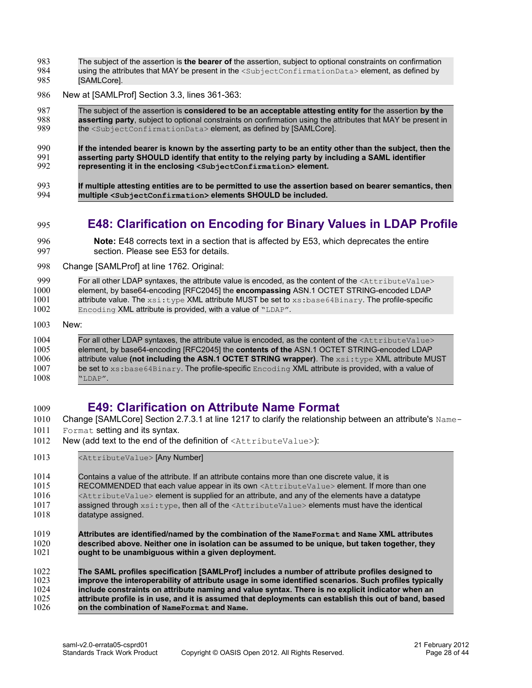- The subject of the assertion is **the bearer of** the assertion, subject to optional constraints on confirmation 983
- using the attributes that MAY be present in the <SubjectConfirmationData> element, as defined by [SAMLCore]. 984 985
- New at [\[SAMLProf\]](#page-6-5) Section 3.3, lines 361-363: 986
- The subject of the assertion is **considered to be an acceptable attesting entity for** the assertion **by the asserting party**, subject to optional constraints on confirmation using the attributes that MAY be present in the <SubjectConfirmationData> element, as defined by [SAMLCore]. 987 988 989
- **If the intended bearer is known by the asserting party to be an entity other than the subject, then the asserting party SHOULD identify that entity to the relying party by including a SAML identifier representing it in the enclosing <SubjectConfirmation> element.** 990 991 992
- **If multiple attesting entities are to be permitted to use the assertion based on bearer semantics, then multiple <SubjectConfirmation> elements SHOULD be included.** 993 994
- <span id="page-27-1"></span>**E48: Clarification on Encoding for Binary Values in LDAP Profile** 995
- **Note:** E48 corrects text in a section that is affected by E53, which deprecates the entire section. Please see E53 for details. 996 997
- Change [\[SAMLProf\]](#page-6-5) at line 1762. Original: 998
- For all other LDAP syntaxes, the attribute value is encoded, as the content of the <AttributeValue> element, by base64-encoding [RFC2045] the **encompassing** ASN.1 OCTET STRING-encoded LDAP attribute value. The xsi:type XML attribute MUST be set to xs: base64Binary. The profile-specific 999 1000 1001 1002
- Encoding XML attribute is provided, with a value of "LDAP".
- New: 1003

1009

#### For all other LDAP syntaxes, the attribute value is encoded, as the content of the <AttributeValue> element, by base64-encoding [RFC2045] the **contents of the** ASN.1 OCTET STRING-encoded LDAP attribute value **(not including the ASN.1 OCTET STRING wrapper)**. The xsi:type XML attribute MUST be set to  $xs:base64Binary$ . The profile-specific  $Encoder_Q$  XML attribute is provided, with a value of "LDAP". 1004 1005 1006 1007 1008

# <span id="page-27-0"></span>**E49: Clarification on Attribute Name Format**

- Change [\[SAMLCore\]](#page-6-2) Section 2.7.3.1 at line 1217 to clarify the relationship between an attribute's Name-1010
- Format setting and its syntax. 1011
- New (add text to the end of the definition of <AttributeValue>): 1012
- <AttributeValue> [Any Number] 1013

Contains a value of the attribute. If an attribute contains more than one discrete value, it is RECOMMENDED that each value appear in its own <AttributeValue> element. If more than one <AttributeValue> element is supplied for an attribute, and any of the elements have a datatype assigned through  $xsi:type$ , then all of the  $\forall$ AttributeValue> elements must have the identical 1014 1015 1016 1017

- datatype assigned. 1018
- **Attributes are identified/named by the combination of the NameFormat and Name XML attributes described above. Neither one in isolation can be assumed to be unique, but taken together, they ought to be unambiguous within a given deployment.** 1019 1020 1021

**The SAML profiles specification [SAMLProf] includes a number of attribute profiles designed to improve the interoperability of attribute usage in some identified scenarios. Such profiles typically include constraints on attribute naming and value syntax. There is no explicit indicator when an attribute profile is in use, and it is assumed that deployments can establish this out of band, based on the combination of NameFormat and Name.** 1022 1023 1024 1025 1026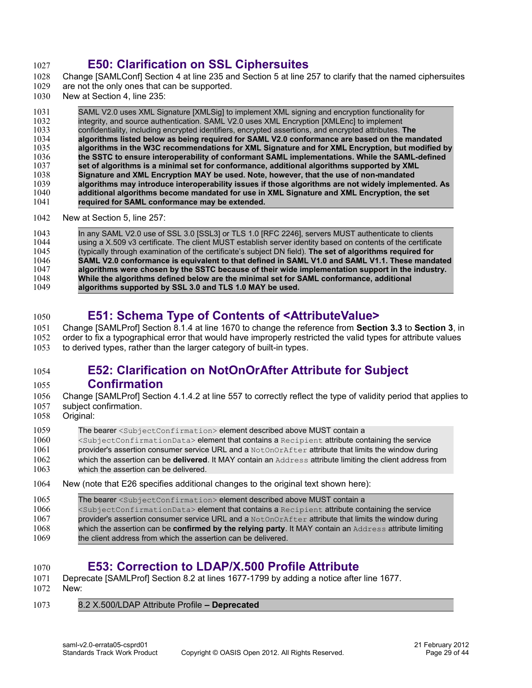#### <span id="page-28-3"></span>**E50: Clarification on SSL Ciphersuites**  1027

- Change [\[SAMLConf\]](#page-6-6) Section 4 at line 235 and Section 5 at line 257 to clarify that the named ciphersuites 1028
- are not the only ones that can be supported. 1029
- New at Section 4, line 235: 1030

#### SAML V2.0 uses XML Signature [XMLSig] to implement XML signing and encryption functionality for integrity, and source authentication. SAML V2.0 uses XML Encryption [XMLEnc] to implement confidentiality, including encrypted identifiers, encrypted assertions, and encrypted attributes. **The algorithms listed below as being required for SAML V2.0 conformance are based on the mandated algorithms in the W3C recommendations for XML Signature and for XML Encryption, but modified by the SSTC to ensure interoperability of conformant SAML implementations. While the SAML-defined set of algorithms is a minimal set for conformance, additional algorithms supported by XML Signature and XML Encryption MAY be used. Note, however, that the use of non-mandated algorithms may introduce interoperability issues if those algorithms are not widely implemented. As additional algorithms become mandated for use in XML Signature and XML Encryption, the set required for SAML conformance may be extended.** New at Section 5, line 257: 1031 1032 1033 1034 1035 1036 1037 1038 1039 1040 1041 1042

In any SAML V2.0 use of SSL 3.0 [SSL3] or TLS 1.0 [RFC 2246], servers MUST authenticate to clients using a X.509 v3 certificate. The client MUST establish server identity based on contents of the certificate (typically through examination of the certificate's subject DN field). **The set of algorithms required for SAML V2.0 conformance is equivalent to that defined in SAML V1.0 and SAML V1.1. These mandated algorithms were chosen by the SSTC because of their wide implementation support in the industry. While the algorithms defined below are the minimal set for SAML conformance, additional algorithms supported by SSL 3.0 and TLS 1.0 MAY be used.** 1043 1044 1045 1046 1047 1048 1049

#### <span id="page-28-2"></span>**E51: Schema Type of Contents of <AttributeValue>**  1050

Change [\[SAMLProf\]](#page-6-5) Section 8.1.4 at line 1670 to change the reference from **Section 3.3** to **Section 3**, in order to fix a typographical error that would have improperly restricted the valid types for attribute values to derived types, rather than the larger category of built-in types. 1051 1052 1053

#### <span id="page-28-1"></span>**E52: Clarification on NotOnOrAfter Attribute for Subject Confirmation** 1054 1055

- Change [\[SAMLProf\]](#page-6-5) Section 4.1.4.2 at line 557 to correctly reflect the type of validity period that applies to subject confirmation. 1056 1057
- Original: 1058

#### The bearer <SubjectConfirmation> element described above MUST contain a <SubjectConfirmationData> element that contains a Recipient attribute containing the service 1059 1060

- provider's assertion consumer service URL and a NotOnOrAfter attribute that limits the window during which the assertion can be **delivered**. It MAY contain an Address attribute limiting the client address from 1061 1062
- which the assertion can be delivered. 1063
- New (note that E26 specifies additional changes to the original text shown here): 1064

| 1065 | The bearer <subjectconfirmation> element described above MUST contain a</subjectconfirmation>                            |
|------|--------------------------------------------------------------------------------------------------------------------------|
| 1066 | <subjectconfirmationdata> element that contains a Recipient attribute containing the service</subjectconfirmationdata>   |
| 1067 | provider's assertion consumer service URL and a $NotOnOrAfter$ attribute that limits the window during                   |
| 1068 | which the assertion can be <b>confirmed by the relying party</b> . It MAY contain an $\text{Address}$ attribute limiting |
| 1069 | the client address from which the assertion can be delivered.                                                            |
|      |                                                                                                                          |

#### <span id="page-28-0"></span>**E53: Correction to LDAP/X.500 Profile Attribute** 1070

- Deprecate [\[SAMLProf\]](#page-6-5) Section 8.2 at lines 1677-1799 by adding a notice after line 1677. 1071
- New: 1072
- 8.2 X.500/LDAP Attribute Profile  **Deprecated** 1073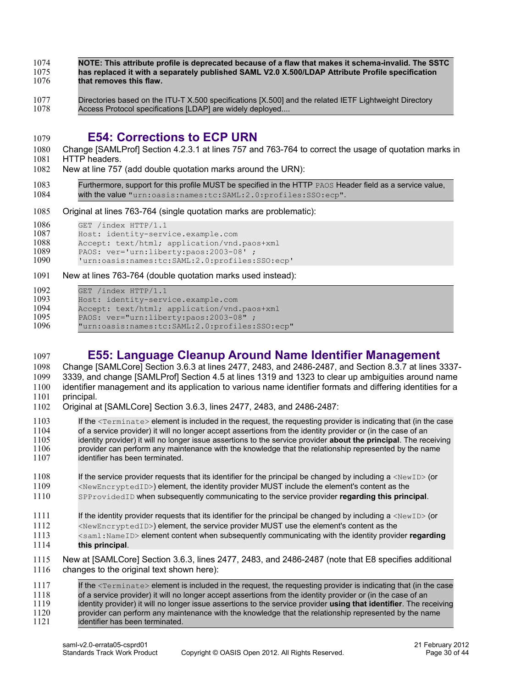- **NOTE: This attribute profile is deprecated because of a flaw that makes it schema-invalid. The SSTC has replaced it with a separately published SAML V2.0 X.500/LDAP Attribute Profile specification that removes this flaw.** 1074 1075 1076
- 
- Directories based on the ITU-T X.500 specifications [X.500] and the related IETF Lightweight Directory Access Protocol specifications [LDAP] are widely deployed.... 1077 1078

#### <span id="page-29-1"></span>**E54: Corrections to ECP URN**  1079

- Change [\[SAMLProf\]](#page-6-5) Section 4.2.3.1 at lines 757 and 763-764 to correct the usage of quotation marks in HTTP headers. 1080 1081
- New at line 757 (add double quotation marks around the URN): 1082
- Furthermore, support for this profile MUST be specified in the HTTP PAOS Header field as a service value, with the value **"**urn:oasis:names:tc:SAML:2.0:profiles:SSO:ecp". 1083 1084
- Original at lines 763-764 (single quotation marks are problematic): 1085
- GET /index HTTP/1.1 1086
- Host: identity-service.example.com 1087
- Accept: text/html; application/vnd.paos+xml 1088
- PAOS: ver=**'**urn:liberty:paos:2003-08**'** ; 1089
- **'**urn:oasis:names:tc:SAML:2.0:profiles:SSO:ecp**'** 1090
- New at lines 763-764 (double quotation marks used instead): 1091
- GET /index HTTP/1.1 1092

1097

- Host: identity-service.example.com 1093
- Accept: text/html; application/vnd.paos+xml 1094
- PAOS: ver=**"**urn:liberty:paos:2003-08**"** ; 1095
- **"**urn:oasis:names:tc:SAML:2.0:profiles:SSO:ecp" 1096

### <span id="page-29-0"></span>**E55: Language Cleanup Around Name Identifier Management**

Change [\[SAMLCore\]](#page-6-2) Section 3.6.3 at lines 2477, 2483, and 2486-2487, and Section 8.3.7 at lines 3337- 3339, and change [\[SAMLProf\]](#page-6-5) Section 4.5 at lines 1319 and 1323 to clear up ambiguities around name identifier management and its application to various name identifier formats and differing identities for a principal. 1098 1099 1100 1101

- Original at [\[SAMLCore\]](#page-6-2) Section 3.6.3, lines 2477, 2483, and 2486-2487: 1102
- If the  $\leq$ Terminate> element is included in the request, the requesting provider is indicating that (in the case of a service provider) it will no longer accept assertions from the identity provider or (in the case of an identity provider) it will no longer issue assertions to the service provider **about the principal**. The receiving provider can perform any maintenance with the knowledge that the relationship represented by the name identifier has been terminated. 1103 1104 1105 1106 1107
- If the service provider requests that its identifier for the principal be changed by including a  $\langle NewID \rangle$  (or <NewEncryptedID>) element, the identity provider MUST include the element's content as the 1108 1109
- SPProvidedID when subsequently communicating to the service provider **regarding this principal**. 1110
- If the identity provider requests that its identifier for the principal be changed by including  $a \leq N \leq N$  (or 1111
- <NewEncryptedID>) element, the service provider MUST use the element's content as the 1112
- <saml:NameID> element content when subsequently communicating with the identity provider **regarding this principal**. 1113 1114
- New at [\[SAMLCore\]](#page-6-2) Section 3.6.3, lines 2477, 2483, and 2486-2487 (note that E8 specifies additional changes to the original text shown here): 1115 1116

If the <Terminate> element is included in the request, the requesting provider is indicating that (in the case of a service provider) it will no longer accept assertions from the identity provider or (in the case of an identity provider) it will no longer issue assertions to the service provider **using that identifier**. The receiving provider can perform any maintenance with the knowledge that the relationship represented by the name identifier has been terminated. 1117 1118 1119 1120 1121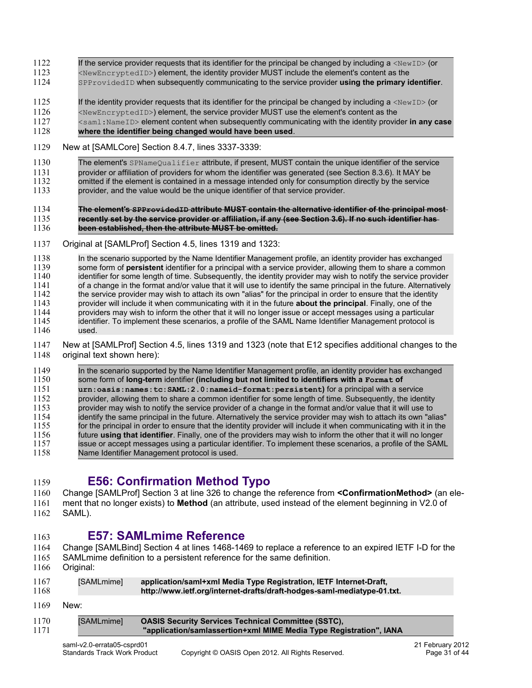#### If the service provider requests that its identifier for the principal be changed by including  $a \leq N \leq D$  (or 1122

- <NewEncryptedID>) element, the identity provider MUST include the element's content as the 1123
- SPProvidedID when subsequently communicating to the service provider **using the primary identifier**. 1124
- If the identity provider requests that its identifier for the principal be changed by including  $a \leq N \leq N$  (or 1125
- $\leq$ NewEncryptedID>) element, the service provider MUST use the element's content as the 1126
- <saml:NameID> element content when subsequently communicating with the identity provider **in any case** 1127
- **where the identifier being changed would have been used**. 1128

#### New at [\[SAMLCore\]](#page-6-2) Section 8.4.7, lines 3337-3339: 1129

The element's SPNameQualifier attribute, if present, MUST contain the unique identifier of the service provider or affiliation of providers for whom the identifier was generated (see Section 8.3.6). It MAY be omitted if the element is contained in a message intended only for consumption directly by the service 1130 1131 1132

provider, and the value would be the unique identifier of that service provider. 1133

#### **The element's SPProvidedID attribute MUST contain the alternative identifier of the principal most recently set by the service provider or affiliation, if any (see Section 3.6). If no such identifier has been established, then the attribute MUST be omitted.** 1134 1135 1136

Original at [\[SAMLProf\]](#page-6-5) Section 4.5, lines 1319 and 1323: 1137

In the scenario supported by the Name Identifier Management profile, an identity provider has exchanged some form of **persistent** identifier for a principal with a service provider, allowing them to share a common identifier for some length of time. Subsequently, the identity provider may wish to notify the service provider of a change in the format and/or value that it will use to identify the same principal in the future. Alternatively the service provider may wish to attach its own "alias" for the principal in order to ensure that the identity provider will include it when communicating with it in the future **about the principal**. Finally, one of the providers may wish to inform the other that it will no longer issue or accept messages using a particular identifier. To implement these scenarios, a profile of the SAML Name Identifier Management protocol is used. 1138 1139 1140 1141 1142 1143 1144 1145 1146

New at [\[SAMLProf\]](#page-6-5) Section 4.5, lines 1319 and 1323 (note that E12 specifies additional changes to the original text shown here): 1147 1148

In the scenario supported by the Name Identifier Management profile, an identity provider has exchanged some form of **long-term** identifier **(including but not limited to identifiers with a Format of urn:oasis:names:tc:SAML:2.0:nameid-format:persistent)** for a principal with a service provider, allowing them to share a common identifier for some length of time. Subsequently, the identity provider may wish to notify the service provider of a change in the format and/or value that it will use to identify the same principal in the future. Alternatively the service provider may wish to attach its own "alias" for the principal in order to ensure that the identity provider will include it when communicating with it in the future **using that identifier**. Finally, one of the providers may wish to inform the other that it will no longer issue or accept messages using a particular identifier. To implement these scenarios, a profile of the SAML Name Identifier Management protocol is used. 1149 1150 1151 1152 1153 1154 1155 1156 1157 1158

#### <span id="page-30-1"></span>**E56: Confirmation Method Typo** 1159

Change [\[SAMLProf\]](#page-6-5) Section 3 at line 326 to change the reference from **<ConfirmationMethod>** (an element that no longer exists) to **Method** (an attribute, used instead of the element beginning in V2.0 of 1160 1161

SAML). 1162

1163

1  $\mathbf{1}$ 

### <span id="page-30-0"></span>**E57: SAMLmime Reference**

- Change [\[SAMLBind\]](#page-6-3) Section 4 at lines 1468-1469 to replace a reference to an expired IETF I-D for the 1164
- SAMLmime definition to a persistent reference for the same definition. 1165
- Original: 1166

| 1167 | [SAMLmime] | application/samI+xmI Media Type Registration, IETF Internet-Draft,      |
|------|------------|-------------------------------------------------------------------------|
| 1168 |            | http://www.ietf.org/internet-drafts/draft-hodges-saml-mediatype-01.txt. |

New: 1169

| 170<br>171 | <b>ISAMLmimel</b> | <b>OASIS Security Services Technical Committee (SSTC),</b><br>"application/samlassertion+xml MIME Media Type Registration", IANA |
|------------|-------------------|----------------------------------------------------------------------------------------------------------------------------------|
|------------|-------------------|----------------------------------------------------------------------------------------------------------------------------------|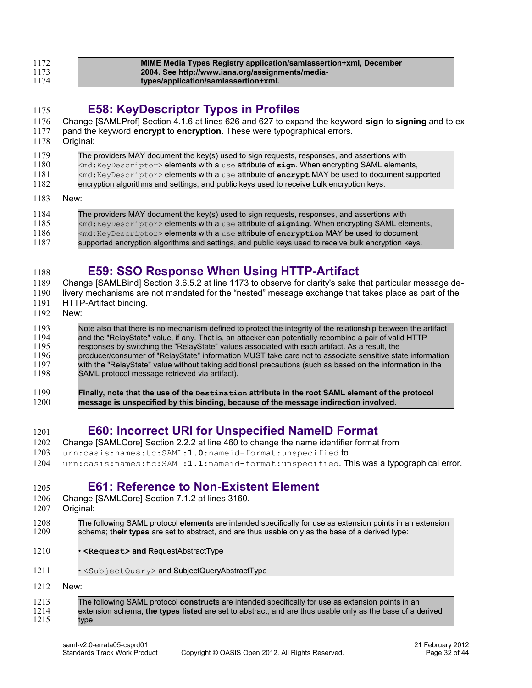| 1172 | MIME Media Types Registry application/samlassertion+xml, December |
|------|-------------------------------------------------------------------|
| 1173 | 2004. See http://www.iana.org/assignments/media-                  |
| 1174 | types/application/samlassertion+xml.                              |

#### <span id="page-31-3"></span>**E58: KeyDescriptor Typos in Profiles** 1175

- Change [\[SAMLProf\]](#page-6-5) Section 4.1.6 at lines 626 and 627 to expand the keyword **sign** to **signing** and to ex-1176
- pand the keyword **encrypt** to **encryption**. These were typographical errors. 1177
- Original: 1178
- The providers MAY document the key(s) used to sign requests, responses, and assertions with 1179
- <md:KeyDescriptor> elements with a use attribute of **sign**. When encrypting SAML elements, 1180
- <md:KeyDescriptor> elements with a use attribute of **encrypt** MAY be used to document supported 1181
- encryption algorithms and settings, and public keys used to receive bulk encryption keys. 1182
- New: 1183

| 1184 | The providers MAY document the key(s) used to sign requests, responses, and assertions with           |
|------|-------------------------------------------------------------------------------------------------------|
| 1185 | <md: keydescriptor=""> elements with a use attribute of signing. When encrypting SAML elements,</md:> |
| 1186 | $\leq$ md: KeyDescriptor> elements with a use attribute of encryption MAY be used to document         |
| 1187 | supported encryption algorithms and settings, and public keys used to receive bulk encryption keys.   |

### <span id="page-31-2"></span>**E59: SSO Response When Using HTTP-Artifact**

Change [\[SAMLBind\]](#page-6-3) Section 3.6.5.2 at line 1173 to observe for clarity's sake that particular message de-1189

- livery mechanisms are not mandated for the "nested" message exchange that takes place as part of the 1190
- HTTP-Artifact binding. 1191
- New: 1192

1188

#### Note also that there is no mechanism defined to protect the integrity of the relationship between the artifact and the "RelayState" value, if any. That is, an attacker can potentially recombine a pair of valid HTTP responses by switching the "RelayState" values associated with each artifact. As a result, the producer/consumer of "RelayState" information MUST take care not to associate sensitive state information with the "RelayState" value without taking additional precautions (such as based on the information in the SAML protocol message retrieved via artifact). 1193 1194 1195 1196 1197 1198

**Finally, note that the use of the Destination attribute in the root SAML element of the protocol message is unspecified by this binding, because of the message indirection involved.** 1199 1200

#### <span id="page-31-1"></span>**E60: Incorrect URI for Unspecified NameID Format** 1201

- Change [\[SAMLCore\]](#page-6-2) Section 2.2.2 at line 460 to change the name identifier format from 1202
- urn:oasis:names:tc:SAML:**1.0**:nameid-format:unspecified to 1203
- urn:oasis:names:tc:SAML:**1.1**:nameid-format:unspecified. This was a typographical error. 1204

#### <span id="page-31-0"></span>**E61: Reference to Non-Existent Element** 1205

- Change [\[SAMLCore\]](#page-6-2) Section 7.1.2 at lines 3160. 1206
- Original: 1207
- The following SAML protocol **element**s are intended specifically for use as extension points in an extension schema; **their types** are set to abstract, and are thus usable only as the base of a derived type: 1208 1209
- **<Request> and** RequestAbstractType 1210
- <SubjectQuery> and SubjectQueryAbstractType 1211
- New: 1212

| 1213 | The following SAML protocol <b>construct</b> s are intended specifically for use as extension points in an |
|------|------------------------------------------------------------------------------------------------------------|
| 1214 | extension schema; the types listed are set to abstract, and are thus usable only as the base of a derived  |
| 1215 | type:                                                                                                      |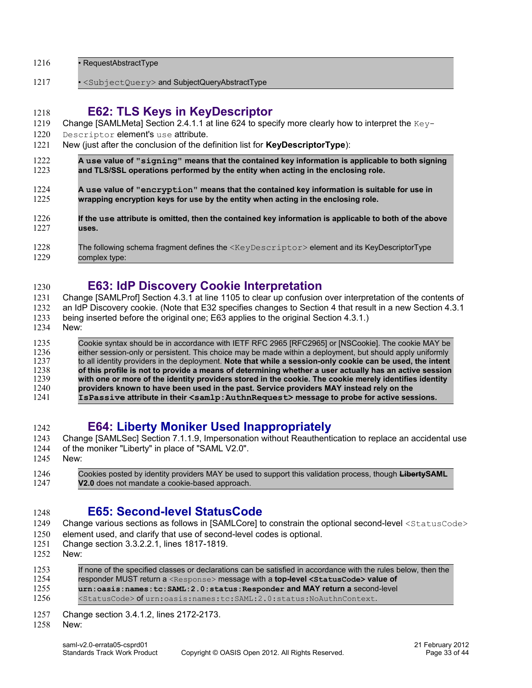| 1216 | • RequestAbstractType |
|------|-----------------------|
|------|-----------------------|

• <SubjectQuery> and SubjectQueryAbstractType 1217

#### <span id="page-32-3"></span>**E62: TLS Keys in KeyDescriptor** 1218

- Change [\[SAMLMeta\]](#page-6-4) Section 2.4.1.1 at line 624 to specify more clearly how to interpret the  $Key-$ 1219
- Descriptor element's use attribute. 1220
- New (just after the conclusion of the definition list for **KeyDescriptorType**): 1221

**A use value of "signing" means that the contained key information is applicable to both signing and TLS/SSL operations performed by the entity when acting in the enclosing role.** 1222 1223

- **A use value of "encryption" means that the contained key information is suitable for use in wrapping encryption keys for use by the entity when acting in the enclosing role.** 1224 1225
- **If the use attribute is omitted, then the contained key information is applicable to both of the above uses.** 1226 1227
- The following schema fragment defines the <KeyDescriptor> element and its KeyDescriptorType complex type: 1228 1229

#### <span id="page-32-2"></span>**E63: IdP Discovery Cookie Interpretation** 1230

Change [\[SAMLProf\]](#page-6-5) Section 4.3.1 at line 1105 to clear up confusion over interpretation of the contents of an IdP Discovery cookie. (Note that E32 specifies changes to Section 4 that result in a new Section 4.3.1 1231 1232

- being inserted before the original one; E63 applies to the original Section 4.3.1.) 1233
- New: 1234

Cookie syntax should be in accordance with IETF RFC 2965 [RFC2965] or [NSCookie]. The cookie MAY be either session-only or persistent. This choice may be made within a deployment, but should apply uniformly to all identity providers in the deployment. **Note that while a session-only cookie can be used, the intent of this profile is not to provide a means of determining whether a user actually has an active session with one or more of the identity providers stored in the cookie. The cookie merely identifies identity providers known to have been used in the past. Service providers MAY instead rely on the IsPassive attribute in their <samlp:AuthnRequest> message to probe for active sessions.** 1235 1236 1237 1238 1239 1240 1241

#### <span id="page-32-1"></span>**E64: Liberty Moniker Used Inappropriately** 1242

- Change [\[SAMLSec\]](#page-7-1) Section 7.1.1.9, Impersonation without Reauthentication to replace an accidental use 1243
- of the moniker "Liberty" in place of "SAML V2.0". 1244
- New: 1245

Cookies posted by identity providers MAY be used to support this validation process, though **LibertySAML V2.0** does not mandate a cookie-based approach. 1246 1247

#### <span id="page-32-0"></span>**E65: Second-level StatusCode** 1248

- Change various sections as follows in [\[SAMLCore\]](#page-6-2) to constrain the optional second-level <statusCode> 1249
- element used, and clarify that use of second-level codes is optional. 1250
- Change section 3.3.2.2.1, lines 1817-1819. 1251
- New: 1252

| 1253 | If none of the specified classes or declarations can be satisfied in accordance with the rules below, then the |
|------|----------------------------------------------------------------------------------------------------------------|
| 1254 | responder MUST return a <response> message with a top-level <statuscode> value of</statuscode></response>      |
| 1255 | $urn: oasis: names: tc: SAML: 2.0: status: Responder and MAY return a second-level$                            |
| 1256 | <statuscode> of urn:oasis:names:tc:SAML:2.0:status:NoAuthnContext.</statuscode>                                |

Change section 3.4.1.2, lines 2172-2173. 1257

New: 1258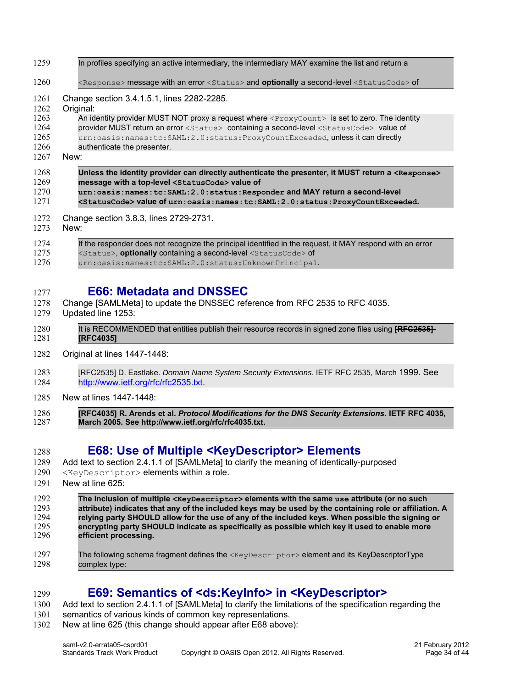| 1259 | In profiles specifying an active intermediary, the intermediary MAY examine the list and return a                        |
|------|--------------------------------------------------------------------------------------------------------------------------|
| 1260 | <response> message with an error <status> and optionally a second-level <statuscode> of</statuscode></status></response> |
| 1261 | Change section 3.4.1.5.1, lines 2282-2285.                                                                               |
| 1262 | Original:                                                                                                                |
| 1263 | An identity provider MUST NOT proxy a request where <proxycount> is set to zero. The identity</proxycount>               |
| 1264 | provider MUST return an error <status> containing a second-level <statuscode> value of</statuscode></status>             |
| 1265 | urn:oasis:names:tc:SAML:2.0:status:ProxyCountExceeded, unless it can directly                                            |
| 1266 | authenticate the presenter.                                                                                              |
| 1267 | New:                                                                                                                     |
| 1268 | Unless the identity provider can directly authenticate the presenter, it MUST return a <response></response>             |
| 1269 | message with a top-level <statuscode> value of</statuscode>                                                              |
| 1270 | urn:oasis:names:tc:SAML:2.0:status:Responder and MAY return a second-level                                               |
| 1271 | <statuscode> Value of urn:oasis:names:tc:SAML:2.0:status:ProxyCountExceeded.</statuscode>                                |
| 1272 | Change section 3.8.3, lines 2729-2731.                                                                                   |
| 1273 | New:                                                                                                                     |
| 1274 | If the responder does not recognize the principal identified in the request, it MAY respond with an error                |
| 1275 | <status>, optionally containing a second-level <statuscode> of</statuscode></status>                                     |
| 1276 | urn:oasis:names:tc:SAML:2.0:status:UnknownPrincipal.                                                                     |

### <span id="page-33-2"></span>**E66: Metadata and DNSSEC**

- Change [\[SAMLMeta\]](#page-6-4) to update the DNSSEC reference from RFC 2535 to RFC 4035. 1278
- Updated line 1253: 1279

1277

- It is RECOMMENDED that entities publish their resource records in signed zone files using **[RFC2535] [RFC4035]** 1280 1281
- Original at lines 1447-1448: 1282
- [RFC2535] D. Eastlake. Domain Name System Security Extensions. IETF RFC 2535, March 1999. See http://www.ietf.org/rfc/rfc2535.txt. 1283 1284
- New at lines 1447-1448: 1285
- **[RFC4035] R. Arends et al.** *Protocol Modifications for the DNS Security Extensions***. IETF RFC 4035, March 2005. See http://www.ietf.org/rfc/rfc4035.txt.** 1286 1287

#### <span id="page-33-1"></span>**E68: Use of Multiple <KeyDescriptor> Elements** 1288

- Add text to section 2.4.1.1 of [\[SAMLMeta\]](#page-6-4) to clarify the meaning of identically-purposed 1289
- <KeyDescriptor> elements within a role. 1290
- New at line 625: 1291

**The inclusion of multiple <KeyDescriptor> elements with the same use attribute (or no such attribute) indicates that any of the included keys may be used by the containing role or affiliation. A relying party SHOULD allow for the use of any of the included keys. When possible the signing or encrypting party SHOULD indicate as specifically as possible which key it used to enable more efficient processing.** 1292 1293 1294 1295 1296

The following schema fragment defines the <KeyDescriptor> element and its KeyDescriptorType complex type: 1297 1298

#### <span id="page-33-0"></span>**E69: Semantics of <ds:KeyInfo> in <KeyDescriptor>** 1299

Add text to section 2.4.1.1 of [\[SAMLMeta\]](#page-6-4) to clarify the limitations of the specification regarding the 1300

- semantics of various kinds of common key representations. 1301
- New at line 625 (this change should appear after E68 above): 1302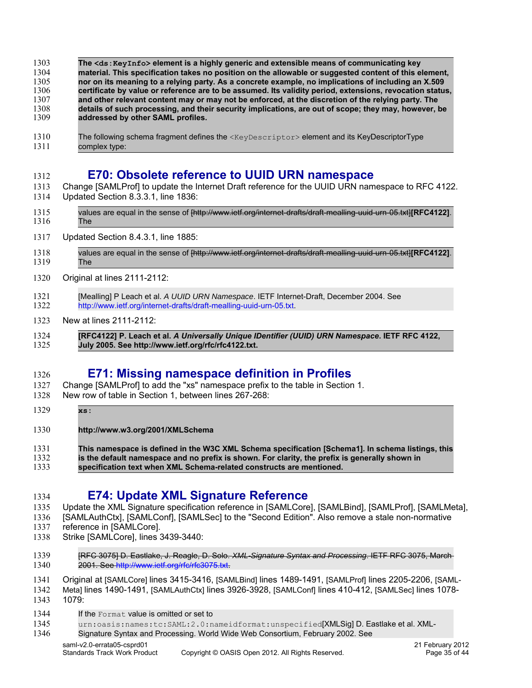| 1303 | The <ds: keyinfo=""> element is a highly generic and extensible means of communicating key</ds:>         |
|------|----------------------------------------------------------------------------------------------------------|
| 1304 | material. This specification takes no position on the allowable or suggested content of this element,    |
| 1305 | nor on its meaning to a relying party. As a concrete example, no implications of including an X.509      |
| 1306 | certificate by value or reference are to be assumed. Its validity period, extensions, revocation status, |
| 1307 | and other relevant content may or may not be enforced, at the discretion of the relying party. The       |
| 1308 | details of such processing, and their security implications, are out of scope; they may, however, be     |
| 1309 | addressed by other SAML profiles.                                                                        |

The following schema fragment defines the <KeyDescriptor> element and its KeyDescriptorType complex type: 1310 1311

### <span id="page-34-2"></span>**E70: Obsolete reference to UUID URN namespace**

- Change [\[SAMLProf\]](#page-6-5) to update the Internet Draft reference for the UUID URN namespace to RFC 4122. Updated Section 8.3.3.1, line 1836: 1313 1314
- values are equal in the sense of [http://www.ietf.org/internet-drafts/draft-mealling-uuid-urn-05.txt]**[RFC4122]**. The 1315 1316
- Updated Section 8.4.3.1, line 1885: 1317
- values are equal in the sense of [http://www.ietf.org/internet-drafts/draft-mealling-uuid-urn-05.txt]**[RFC4122]**. The 1318 1319
- Original at lines 2111-2112: 1320
- [Mealling] P Leach et al. A UUID URN Namespace. IETF Internet-Draft, December 2004. See http://www.ietf.org/internet-drafts/draft-mealling-uuid-urn-05.txt. 1321 1322
- New at lines 2111-2112: 1323
- **[RFC4122] P. Leach et al.** *A Universally Unique IDentifier (UUID) URN Namespace***. IETF RFC 4122, July 2005. See http://www.ietf.org/rfc/rfc4122.txt.** 1324 1325

#### <span id="page-34-1"></span>**E71: Missing namespace definition in Profiles** 1326

- Change [\[SAMLProf\]](#page-6-5) to add the "xs" namespace prefix to the table in Section 1. 1327
- New row of table in Section 1, between lines 267-268: 1328
- **xs:** 1329

1312

- **http://www.w3.org/2001/XMLSchema** 1330
- **This namespace is defined in the W3C XML Schema specification [Schema1]. In schema listings, this is the default namespace and no prefix is shown. For clarity, the prefix is generally shown in** 1331 1332
- **specification text when XML Schema-related constructs are mentioned.** 1333

#### <span id="page-34-0"></span>**E74: Update XML Signature Reference** 1334

- Update the XML Signature specification reference in [\[SAMLCore\],](#page-6-2) [\[SAMLBind\],](#page-6-3) [\[SAMLProf\],](#page-6-5) [\[SAMLMeta\],](#page-6-4) 1335
- [\[SAMLAuthCtx\],](#page-6-7) [\[SAMLConf\],](#page-6-6) [\[SAMLSec\]](#page-7-1) to the "Second Edition". Also remove a stale non-normative 1336
- reference in [\[SAMLCore\].](#page-6-2) 1337
- Strike [\[SAMLCore\],](#page-6-2) lines 3439-3440: 1338
- [RFC 3075] D. Eastlake, J. Reagle, D. Solo. XML-Signature Syntax and Processing. IETF RFC 3075, March 2001. See http://www.ietf.org/rfc/rfc3075.txt. 1339 1340
- Original at [\[SAMLCore\]](#page-6-2) lines 3415-3416, [\[SAMLBind\]](#page-6-3) lines 1489-1491, [\[SAMLProf\]](#page-6-5) lines 2205-2206, [\[SAML-](#page-6-4)1341
- [Meta\]](#page-6-4) lines 1490-1491, [\[SAMLAuthCtx\]](#page-6-7) lines 3926-3928, [\[SAMLConf\]](#page-6-6) lines 410-412, [\[SAMLSec\]](#page-7-1) lines 1078- 1079: 1342 1343
- If the Format value is omitted or set to 1344
- urn:oasis:names:tc:SAML:2.0:nameidformat:unspecified[XMLSig] D. Eastlake et al. XML-1345
- Signature Syntax and Processing. World Wide Web Consortium, February 2002. See 1346
	- saml-v2.0-errata05-csprd01 2012<br>Standards Track Work Product Copyright © OASIS Open 2012. All Rights Reserved. 2012 21 February 2012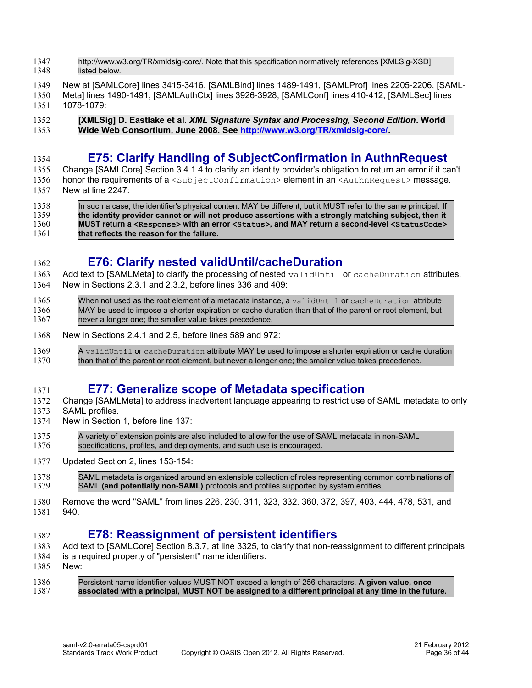- http://www.w3.org/TR/xmldsig-core/. Note that this specification normatively references [XMLSig-XSD], listed below. 1347 1348
- New at [\[SAMLCore\]](#page-6-2) lines 3415-3416, [\[SAMLBind\]](#page-6-3) lines 1489-1491, [\[SAMLProf\]](#page-6-5) lines 2205-2206, [\[SAML-](#page-6-4)1349
- [Meta\]](#page-6-4) lines 1490-1491, [\[SAMLAuthCtx\]](#page-6-7) lines 3926-3928, [\[SAMLConf\]](#page-6-6) lines 410-412, [\[SAMLSec\]](#page-7-1) lines 1078-1079: 1350 1351
- **[XMLSig] D. Eastlake et al.** *XML Signature Syntax and Processing, Second Edition***. World Wide Web Consortium, June 2008. See [http://www.w3.org/TR/xmldsig-core/.](http://www.w3.org/TR/xmldsig-core/)** 1352 1353

#### <span id="page-35-3"></span>**E75: Clarify Handling of SubjectConfirmation in AuthnRequest** 1354

- Change [\[SAMLCore\]](#page-6-2) Section 3.4.1.4 to clarify an identity provider's obligation to return an error if it can't honor the requirements of a <SubjectConfirmation> element in an <AuthnRequest> message. 1355
- New at line 2247: 1356 1357
	- In such a case, the identifier's physical content MAY be different, but it MUST refer to the same principal. **If the identity provider cannot or will not produce assertions with a strongly matching subject, then it MUST return a <Response>** with an error <Status>, and MAY return a second-level <StatusCode> **that reflects the reason for the failure.** 1358 1359 1360 1361

## <span id="page-35-2"></span>**E76: Clarify nested validUntil/cacheDuration**

- Add text to [\[SAMLMeta\]](#page-6-4) to clarify the processing of nested validUntil or cacheDuration attributes. New in Sections 2.3.1 and 2.3.2, before lines 336 and 409: 1363 1364
- When not used as the root element of a metadata instance, a validUntil or cacheDuration attribute MAY be used to impose a shorter expiration or cache duration than that of the parent or root element, but never a longer one; the smaller value takes precedence. 1365 1366 1367
- New in Sections 2.4.1 and 2.5, before lines 589 and 972: 1368
- A validUntil or cacheDuration attribute MAY be used to impose a shorter expiration or cache duration than that of the parent or root element, but never a longer one; the smaller value takes precedence. 1369 1370

#### <span id="page-35-1"></span>**E77: Generalize scope of Metadata specification** 1371

- Change [\[SAMLMeta\]](#page-6-4) to address inadvertent language appearing to restrict use of SAML metadata to only 1372
- SAML profiles. 1373

1362

- New in Section 1, before line 137: 1374
- A variety of extension points are also included to allow for the use of SAML metadata in non-SAML specifications, profiles, and deployments, and such use is encouraged. 1375 1376
- Updated Section 2, lines 153-154: 1377
- SAML metadata is organized around an extensible collection of roles representing common combinations of SAML **(and potentially non-SAML)** protocols and profiles supported by system entities. 1378 1379
- Remove the word "SAML" from lines 226, 230, 311, 323, 332, 360, 372, 397, 403, 444, 478, 531, and 940. 1380 1381

### <span id="page-35-0"></span>**E78: Reassignment of persistent identifiers**

- Add text to [\[SAMLCore\]](#page-6-2) Section 8.3.7, at line 3325, to clarify that non-reassignment to different principals 1383
- is a required property of "persistent" name identifiers. 1384
- New: 1385

1382

Persistent name identifier values MUST NOT exceed a length of 256 characters. **A given value, once associated with a principal, MUST NOT be assigned to a different principal at any time in the future.** 1386 1387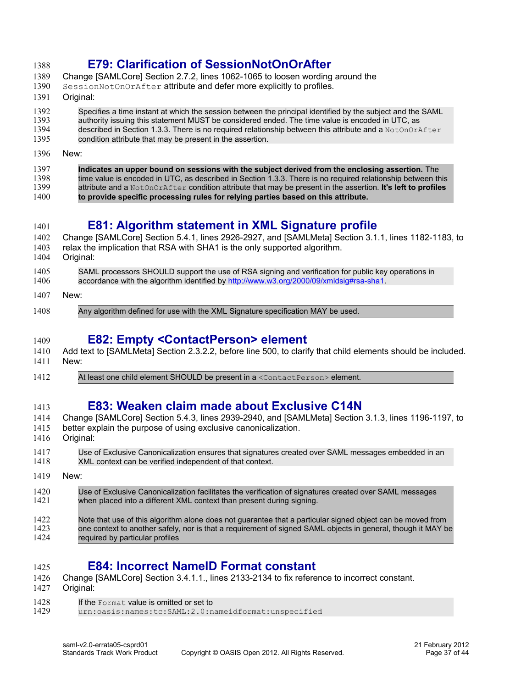#### <span id="page-36-4"></span>**E79: Clarification of SessionNotOnOrAfter** 1388

- Change [\[SAMLCore\]](#page-6-2) Section 2.7.2, lines 1062-1065 to loosen wording around the 1389
- SessionNotOnOrAfter attribute and defer more explicitly to profiles. 1390
- Original: 1391

#### Specifies a time instant at which the session between the principal identified by the subject and the SAML authority issuing this statement MUST be considered ended. The time value is encoded in UTC, as 1392 1393

- described in Section 1.3.3. There is no required relationship between this attribute and a NotOnOrAfter 1394
- condition attribute that may be present in the assertion. 1395
- New: 1396

| 1397 | Indicates an upper bound on sessions with the subject derived from the enclosing assertion. The                       |
|------|-----------------------------------------------------------------------------------------------------------------------|
| 1398 | time value is encoded in UTC, as described in Section 1.3.3. There is no required relationship between this           |
| 1399 | attribute and a $NotOnOrAfter$ condition attribute that may be present in the assertion. <b>It's left to profiles</b> |
| 1400 | to provide specific processing rules for relying parties based on this attribute.                                     |

## <span id="page-36-3"></span>**E81: Algorithm statement in XML Signature profile**

- Change [\[SAMLCore\]](#page-6-2) Section 5.4.1, lines 2926-2927, and [\[SAMLMeta\]](#page-6-4) Section 3.1.1, lines 1182-1183, to relax the implication that RSA with SHA1 is the only supported algorithm. 1402 1403
- Original: 1404

1401

- SAML processors SHOULD support the use of RSA signing and verification for public key operations in accordance with the algorithm identified by http://www.w3.org/2000/09/xmldsig#rsa-sha1. 1405 1406
- New: 1407
- Any algorithm defined for use with the XML Signature specification MAY be used. 1408

#### <span id="page-36-2"></span>**E82: Empty <ContactPerson> element** 1409

- Add text to [\[SAMLMeta\]](#page-6-4) Section 2.3.2.2, before line 500, to clarify that child elements should be included. New: 1410 1411
- At least one child element SHOULD be present in a <ContactPerson> element. 1412

### <span id="page-36-1"></span>**E83: Weaken claim made about Exclusive C14N**

- Change [\[SAMLCore\]](#page-6-2) Section 5.4.3, lines 2939-2940, and [\[SAMLMeta\]](#page-6-4) Section 3.1.3, lines 1196-1197, to better explain the purpose of using exclusive canonicalization. 1414 1415
- Original: 1416

1413

- Use of Exclusive Canonicalization ensures that signatures created over SAML messages embedded in an XML context can be verified independent of that context. 1417 1418
- New: 1419
- Use of Exclusive Canonicalization facilitates the verification of signatures created over SAML messages when placed into a different XML context than present during signing. 1420 1421
- Note that use of this algorithm alone does not guarantee that a particular signed object can be moved from one context to another safely, nor is that a requirement of signed SAML objects in general, though it MAY be required by particular profiles 1422 1423 1424
	- **E84: Incorrect NameID Format constant**
- Change [\[SAMLCore\]](#page-6-2) Section 3.4.1.1., lines 2133-2134 to fix reference to incorrect constant. 1426
- Original: 1427

<span id="page-36-0"></span>1425

- If the Format value is omitted or set to 1428
- urn:oasis:names:tc:SAML:2.0:nameidformat:unspecified 1429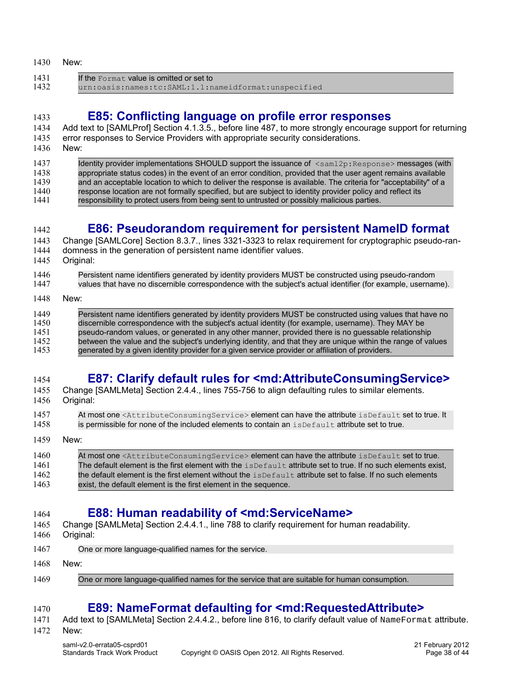<span id="page-37-4"></span><span id="page-37-3"></span>

| 1430         | New:                                                                                                                                                                                                                         |
|--------------|------------------------------------------------------------------------------------------------------------------------------------------------------------------------------------------------------------------------------|
| 1431<br>1432 | If the Format, value is omitted or set to<br>urn:oasis:names:tc:SAML:1.1:nameidformat:unspecified                                                                                                                            |
|              |                                                                                                                                                                                                                              |
| 1433         | E85: Conflicting language on profile error responses                                                                                                                                                                         |
| 1434         | Add text to [SAMLProf] Section 4.1.3.5., before line 487, to more strongly encourage support for returning                                                                                                                   |
| 1435         | error responses to Service Providers with appropriate security considerations.                                                                                                                                               |
| 1436         | New:                                                                                                                                                                                                                         |
| 1437         | Identity provider implementations SHOULD support the issuance of <sam12p: response=""> messages (with</sam12p:>                                                                                                              |
| 1438         | appropriate status codes) in the event of an error condition, provided that the user agent remains available                                                                                                                 |
| 1439<br>1440 | and an acceptable location to which to deliver the response is available. The criteria for "acceptability" of a<br>response location are not formally specified, but are subject to identity provider policy and reflect its |
| 1441         | responsibility to protect users from being sent to untrusted or possibly malicious parties.                                                                                                                                  |
|              |                                                                                                                                                                                                                              |
|              |                                                                                                                                                                                                                              |
| 1442         | <b>E86: Pseudorandom requirement for persistent NamelD format</b>                                                                                                                                                            |
| 1443<br>1444 | Change [SAMLCore] Section 8.3.7., lines 3321-3323 to relax requirement for cryptographic pseudo-ran-<br>domness in the generation of persistent name identifier values.                                                      |
| 1445         | Original:                                                                                                                                                                                                                    |
|              |                                                                                                                                                                                                                              |
| 1446<br>1447 | Persistent name identifiers generated by identity providers MUST be constructed using pseudo-random<br>values that have no discernible correspondence with the subject's actual identifier (for example, username).          |
|              |                                                                                                                                                                                                                              |
| 1448         | New:                                                                                                                                                                                                                         |
| 1449         | Persistent name identifiers generated by identity providers MUST be constructed using values that have no                                                                                                                    |
| 1450         | discernible correspondence with the subject's actual identity (for example, username). They MAY be                                                                                                                           |
| 1451         | pseudo-random values, or generated in any other manner, provided there is no guessable relationship                                                                                                                          |
| 1452<br>1453 | between the value and the subject's underlying identity, and that they are unique within the range of values<br>generated by a given identity provider for a given service provider or affiliation of providers.             |
|              |                                                                                                                                                                                                                              |
|              |                                                                                                                                                                                                                              |
| 1454         | E87: Clarify default rules for <md: attribute="" consuming="" service=""></md:>                                                                                                                                              |
| 1455<br>1456 | Change [SAMLMeta] Section 2.4.4., lines 755-756 to align defaulting rules to similar elements.<br>Original:                                                                                                                  |
|              |                                                                                                                                                                                                                              |

- <span id="page-37-2"></span>At most one <AttributeConsumingService> element can have the attribute isDefault set to true. It 1457
- is permissible for none of the included elements to contain an isDefault attribute set to true. 1458
- New: 1459

| 1460 | At most one <attributeconsumingservice> element can have the attribute isDefault set to true.</attributeconsumingservice> |
|------|---------------------------------------------------------------------------------------------------------------------------|
| 1461 | The default element is the first element with the $i$ sDefault attribute set to true. If no such elements exist.          |
| 1462 | the default element is the first element without the $\mathtt{isDefault}$ attribute set to false. If no such elements     |
| 1463 | exist, the default element is the first element in the sequence.                                                          |

#### <span id="page-37-1"></span>**E88: Human readability of <md:ServiceName>** 1464

- Change [\[SAMLMeta\]](#page-6-4) Section 2.4.4.1., line 788 to clarify requirement for human readability. 1465
- Original: 1466
- One or more language-qualified names for the service. 1467
- New: 1468
- One or more language-qualified names for the service that are suitable for human consumption. 1469

# <span id="page-37-0"></span>**E89: NameFormat defaulting for <md:RequestedAttribute>**

Add text to [\[SAMLMeta\]](#page-6-4) Section 2.4.4.2., before line 816, to clarify default value of NameFormat attribute. 1471

New: 1472

1470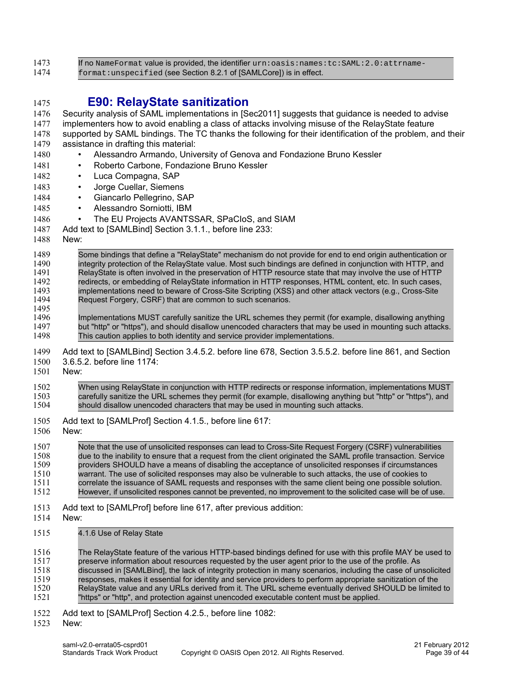<span id="page-38-0"></span>

| 1473                                                                                                         | If no NameFormat value is provided, the identifier urn: oasis: names: tc: SAML: 2.0: attrname-                                                                                                                                                                                                                                                                                                                                                                                                                                                                                                                                                                                                                                                                                                                                                                                                                                |
|--------------------------------------------------------------------------------------------------------------|-------------------------------------------------------------------------------------------------------------------------------------------------------------------------------------------------------------------------------------------------------------------------------------------------------------------------------------------------------------------------------------------------------------------------------------------------------------------------------------------------------------------------------------------------------------------------------------------------------------------------------------------------------------------------------------------------------------------------------------------------------------------------------------------------------------------------------------------------------------------------------------------------------------------------------|
| 1474                                                                                                         | format: unspecified (see Section 8.2.1 of [SAMLCore]) is in effect.                                                                                                                                                                                                                                                                                                                                                                                                                                                                                                                                                                                                                                                                                                                                                                                                                                                           |
| 1475<br>1476<br>1477<br>1478<br>1479<br>1480<br>1481<br>1482<br>1483<br>1484<br>1485<br>1486<br>1487<br>1488 | <b>E90: RelayState sanitization</b><br>Security analysis of SAML implementations in [Sec2011] suggests that guidance is needed to advise<br>implementers how to avoid enabling a class of attacks involving misuse of the RelayState feature<br>supported by SAML bindings. The TC thanks the following for their identification of the problem, and their<br>assistance in drafting this material:<br>Alessandro Armando, University of Genova and Fondazione Bruno Kessler<br>$\bullet$<br>Roberto Carbone, Fondazione Bruno Kessler<br>$\bullet$<br>Luca Compagna, SAP<br>$\bullet$<br>Jorge Cuellar, Siemens<br>$\bullet$<br>Giancarlo Pellegrino, SAP<br>$\bullet$<br>Alessandro Sorniotti, IBM<br>$\bullet$<br>The EU Projects AVANTSSAR, SPaCloS, and SIAM<br>$\bullet$<br>Add text to [SAMLBind] Section 3.1.1., before line 233:<br>New:                                                                             |
| 1489<br>1490<br>1491<br>1492<br>1493<br>1494<br>1495<br>1496<br>1497<br>1498                                 | Some bindings that define a "RelayState" mechanism do not provide for end to end origin authentication or<br>integrity protection of the RelayState value. Most such bindings are defined in conjunction with HTTP, and<br>RelayState is often involved in the preservation of HTTP resource state that may involve the use of HTTP<br>redirects, or embedding of RelayState information in HTTP responses, HTML content, etc. In such cases,<br>implementations need to beware of Cross-Site Scripting (XSS) and other attack vectors (e.g., Cross-Site<br>Request Forgery, CSRF) that are common to such scenarios.<br>Implementations MUST carefully sanitize the URL schemes they permit (for example, disallowing anything<br>but "http" or "https"), and should disallow unencoded characters that may be used in mounting such attacks.<br>This caution applies to both identity and service provider implementations. |
| 1499                                                                                                         | Add text to [SAMLBind] Section 3.4.5.2. before line 678, Section 3.5.5.2. before line 861, and Section                                                                                                                                                                                                                                                                                                                                                                                                                                                                                                                                                                                                                                                                                                                                                                                                                        |
| 1500                                                                                                         | 3.6.5.2. before line 1174:                                                                                                                                                                                                                                                                                                                                                                                                                                                                                                                                                                                                                                                                                                                                                                                                                                                                                                    |
| 1501                                                                                                         | New:                                                                                                                                                                                                                                                                                                                                                                                                                                                                                                                                                                                                                                                                                                                                                                                                                                                                                                                          |
| 1502                                                                                                         | When using RelayState in conjunction with HTTP redirects or response information, implementations MUST                                                                                                                                                                                                                                                                                                                                                                                                                                                                                                                                                                                                                                                                                                                                                                                                                        |
| 1503                                                                                                         | carefully sanitize the URL schemes they permit (for example, disallowing anything but "http" or "https"), and                                                                                                                                                                                                                                                                                                                                                                                                                                                                                                                                                                                                                                                                                                                                                                                                                 |
| 1504                                                                                                         | should disallow unencoded characters that may be used in mounting such attacks.                                                                                                                                                                                                                                                                                                                                                                                                                                                                                                                                                                                                                                                                                                                                                                                                                                               |
| 1505                                                                                                         | Add text to [SAMLProf] Section 4.1.5., before line 617:                                                                                                                                                                                                                                                                                                                                                                                                                                                                                                                                                                                                                                                                                                                                                                                                                                                                       |
| 1506                                                                                                         | New:                                                                                                                                                                                                                                                                                                                                                                                                                                                                                                                                                                                                                                                                                                                                                                                                                                                                                                                          |
| 1507                                                                                                         | Note that the use of unsolicited responses can lead to Cross-Site Request Forgery (CSRF) vulnerabilities                                                                                                                                                                                                                                                                                                                                                                                                                                                                                                                                                                                                                                                                                                                                                                                                                      |
| 1508                                                                                                         | due to the inability to ensure that a request from the client originated the SAML profile transaction. Service                                                                                                                                                                                                                                                                                                                                                                                                                                                                                                                                                                                                                                                                                                                                                                                                                |
| 1509                                                                                                         | providers SHOULD have a means of disabling the acceptance of unsolicited responses if circumstances                                                                                                                                                                                                                                                                                                                                                                                                                                                                                                                                                                                                                                                                                                                                                                                                                           |
| 1510                                                                                                         | warrant. The use of solicited responses may also be vulnerable to such attacks, the use of cookies to                                                                                                                                                                                                                                                                                                                                                                                                                                                                                                                                                                                                                                                                                                                                                                                                                         |
| 1511                                                                                                         | correlate the issuance of SAML requests and responses with the same client being one possible solution.                                                                                                                                                                                                                                                                                                                                                                                                                                                                                                                                                                                                                                                                                                                                                                                                                       |
| 1512                                                                                                         | However, if unsolicited respones cannot be prevented, no improvement to the solicited case will be of use.                                                                                                                                                                                                                                                                                                                                                                                                                                                                                                                                                                                                                                                                                                                                                                                                                    |
| 1513                                                                                                         | Add text to [SAMLProf] before line 617, after previous addition:                                                                                                                                                                                                                                                                                                                                                                                                                                                                                                                                                                                                                                                                                                                                                                                                                                                              |
| 1514                                                                                                         | New:                                                                                                                                                                                                                                                                                                                                                                                                                                                                                                                                                                                                                                                                                                                                                                                                                                                                                                                          |
| 1515                                                                                                         | 4.1.6 Use of Relay State                                                                                                                                                                                                                                                                                                                                                                                                                                                                                                                                                                                                                                                                                                                                                                                                                                                                                                      |
| 1516                                                                                                         | The RelayState feature of the various HTTP-based bindings defined for use with this profile MAY be used to                                                                                                                                                                                                                                                                                                                                                                                                                                                                                                                                                                                                                                                                                                                                                                                                                    |
| 1517                                                                                                         | preserve information about resources requested by the user agent prior to the use of the profile. As                                                                                                                                                                                                                                                                                                                                                                                                                                                                                                                                                                                                                                                                                                                                                                                                                          |
| 1518                                                                                                         | discussed in [SAMLBind], the lack of integrity protection in many scenarios, including the case of unsolicited                                                                                                                                                                                                                                                                                                                                                                                                                                                                                                                                                                                                                                                                                                                                                                                                                |
| 1519                                                                                                         | responses, makes it essential for identity and service providers to perform appropriate sanitization of the                                                                                                                                                                                                                                                                                                                                                                                                                                                                                                                                                                                                                                                                                                                                                                                                                   |
| 1520                                                                                                         | RelayState value and any URLs derived from it. The URL scheme eventually derived SHOULD be limited to                                                                                                                                                                                                                                                                                                                                                                                                                                                                                                                                                                                                                                                                                                                                                                                                                         |
| 1521                                                                                                         | "https" or "http", and protection against unencoded executable content must be applied.                                                                                                                                                                                                                                                                                                                                                                                                                                                                                                                                                                                                                                                                                                                                                                                                                                       |
| 1522                                                                                                         | Add text to [SAMLProf] Section 4.2.5., before line 1082:                                                                                                                                                                                                                                                                                                                                                                                                                                                                                                                                                                                                                                                                                                                                                                                                                                                                      |
| 1523                                                                                                         | New:                                                                                                                                                                                                                                                                                                                                                                                                                                                                                                                                                                                                                                                                                                                                                                                                                                                                                                                          |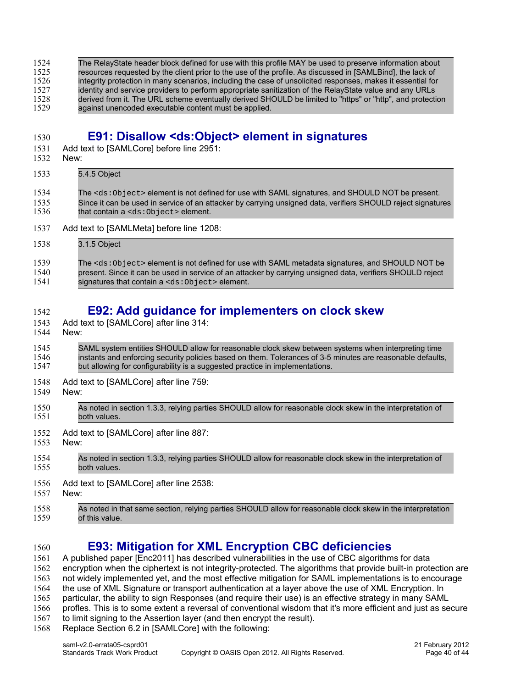The RelayState header block defined for use with this profile MAY be used to preserve information about resources requested by the client prior to the use of the profile. As discussed in [\[SAMLBind\],](#page-6-3) the lack of integrity protection in many scenarios, including the case of unsolicited responses, makes it essential for identity and service providers to perform appropriate sanitization of the RelayState value and any URLs derived from it. The URL scheme eventually derived SHOULD be limited to "https" or "http", and protection against unencoded executable content must be applied. 1524 1525 1526 1527 1528 1529

1530

### <span id="page-39-2"></span>**E91: Disallow <ds:Object> element in signatures**

- Add text to [\[SAMLCore\]](#page-6-2) before line 2951: 1531
- New: 1532

#### 5.4.5 Object The <ds:Object> element is not defined for use with SAML signatures, and SHOULD NOT be present. Since it can be used in service of an attacker by carrying unsigned data, verifiers SHOULD reject signatures that contain a <ds:Object> element. 1533 1534 1535 1536

- Add text to [\[SAMLMeta\]](#page-6-4) before line 1208: 1537
- 3.1.5 Object 1538

#### The <ds: Object> element is not defined for use with SAML metadata signatures, and SHOULD NOT be present. Since it can be used in service of an attacker by carrying unsigned data, verifiers SHOULD reject signatures that contain a <ds: Object> element. 1539 1540 1541

#### <span id="page-39-1"></span>**E92: Add guidance for implementers on clock skew** 1542

- Add text to [\[SAMLCore\]](#page-6-2) after line 314: 1543
- New: 1544

#### SAML system entities SHOULD allow for reasonable clock skew between systems when interpreting time instants and enforcing security policies based on them. Tolerances of 3-5 minutes are reasonable defaults, but allowing for configurability is a suggested practice in implementations. 1545 1546 1547

- Add text to [\[SAMLCore\]](#page-6-2) after line 759: 1548
- New: 1549

| 1550 | As noted in section 1.3.3, relying parties SHOULD allow for reasonable clock skew in the interpretation of  |
|------|-------------------------------------------------------------------------------------------------------------|
| 1551 | both values.                                                                                                |
| 1552 | Add text to [SAMLCore] after line 887:                                                                      |
| 1553 | New:                                                                                                        |
| 1554 | As noted in section 1.3.3, relying parties SHOULD allow for reasonable clock skew in the interpretation of  |
| 1555 | both values.                                                                                                |
| 1556 | Add text to [SAMLCore] after line 2538:                                                                     |
| 1557 | New:                                                                                                        |
| 1558 | As noted in that same section, relying parties SHOULD allow for reasonable clock skew in the interpretation |
| 1559 | of this value.                                                                                              |

1560

### <span id="page-39-0"></span>**E93: Mitigation for XML Encryption CBC deficiencies**

A published paper [\[Enc2011\]](#page-7-3) has described vulnerabilities in the use of CBC algorithms for data encryption when the ciphertext is not integrity-protected. The algorithms that provide built-in protection are not widely implemented yet, and the most effective mitigation for SAML implementations is to encourage 1561 1562 1563

the use of XML Signature or transport authentication at a layer above the use of XML Encryption. In 1564

particular, the ability to sign Responses (and require their use) is an effective strategy in many SAML 1565

profles. This is to some extent a reversal of conventional wisdom that it's more efficient and just as secure to limit signing to the Assertion layer (and then encrypt the result). 1566 1567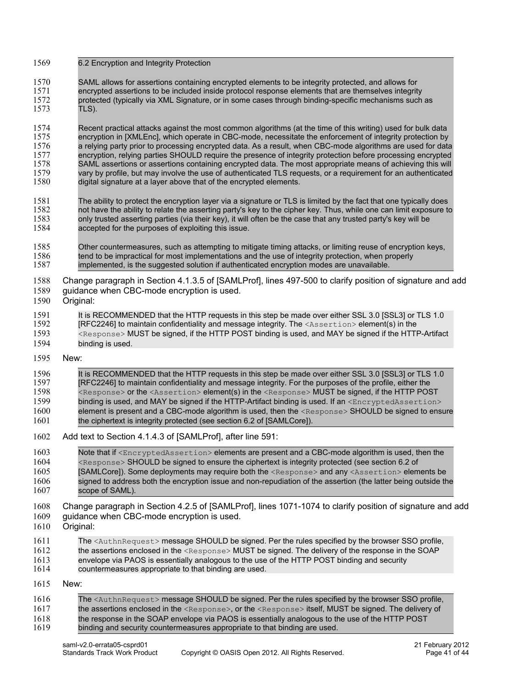- 6.2 Encryption and Integrity Protection 1569
- SAML allows for assertions containing encrypted elements to be integrity protected, and allows for encrypted assertions to be included inside protocol response elements that are themselves integrity protected (typically via XML Signature, or in some cases through binding-specific mechanisms such as TLS). 1570 1571 1572 1573

Recent practical attacks against the most common algorithms (at the time of this writing) used for bulk data encryption in [XMLEnc], which operate in CBC-mode, necessitate the enforcement of integrity protection by a relying party prior to processing encrypted data. As a result, when CBC-mode algorithms are used for data encryption, relying parties SHOULD require the presence of integrity protection before processing encrypted SAML assertions or assertions containing encrypted data. The most appropriate means of achieving this will vary by profile, but may involve the use of authenticated TLS requests, or a requirement for an authenticated digital signature at a layer above that of the encrypted elements. 1574 1575 1576 1577 1578 1579 1580

- The ability to protect the encryption layer via a signature or TLS is limited by the fact that one typically does not have the ability to relate the asserting party's key to the cipher key. Thus, while one can limit exposure to only trusted asserting parties (via their key), it will often be the case that any trusted party's key will be accepted for the purposes of exploiting this issue. 1581 1582 1583 1584
- Other countermeasures, such as attempting to mitigate timing attacks, or limiting reuse of encryption keys, tend to be impractical for most implementations and the use of integrity protection, when properly implemented, is the suggested solution if authenticated encryption modes are unavailable. 1585 1586 1587
- Change paragraph in Section 4.1.3.5 of [\[SAMLProf\],](#page-6-5) lines 497-500 to clarify position of signature and add 1588
- guidance when CBC-mode encryption is used. 1589
- Original: 1590
- It is RECOMMENDED that the HTTP requests in this step be made over either SSL 3.0 [SSL3] or TLS 1.0 [RFC2246] to maintain confidentiality and message integrity. The <Assertion> element(s) in the <Response> MUST be signed, if the HTTP POST binding is used, and MAY be signed if the HTTP-Artifact binding is used. 1591 1592 1593 1594

#### New: 1595

#### It is RECOMMENDED that the HTTP requests in this step be made over either SSL 3.0 [SSL3] or TLS 1.0 [RFC2246] to maintain confidentiality and message integrity. For the purposes of the profile, either the <Response> or the <Assertion> element(s) in the <Response> MUST be signed, if the HTTP POST binding is used, and MAY be signed if the HTTP-Artifact binding is used. If an <EncryptedAssertion> element is present and a CBC-mode algorithm is used, then the <Response> SHOULD be signed to ensure the ciphertext is integrity protected (see section 6.2 of [\[SAMLCore\]\)](#page-6-2). 1596 1597 1598 1599 1600 1601

- Add text to Section 4.1.4.3 of [\[SAMLProf\],](#page-6-5) after line 591: 1602
- Note that if <EncryptedAssertion> elements are present and a CBC-mode algorithm is used, then the <Response> SHOULD be signed to ensure the ciphertext is integrity protected (see section 6.2 of [\[SAMLCore\]\)](#page-6-2). Some deployments may require both the <Response> and any <Assertion> elements be signed to address both the encryption issue and non-repudiation of the assertion (the latter being outside the scope of SAML). 1603 1604 1605 1606 1607
- Change paragraph in Section 4.2.5 of [\[SAMLProf\],](#page-6-5) lines 1071-1074 to clarify position of signature and add 1608
- guidance when CBC-mode encryption is used. 1609
- Original: 1610
- The <AuthnRequest> message SHOULD be signed. Per the rules specified by the browser SSO profile, the assertions enclosed in the <Response> MUST be signed. The delivery of the response in the SOAP envelope via PAOS is essentially analogous to the use of the HTTP POST binding and security countermeasures appropriate to that binding are used. 1611 1612 1613 1614
- New: 1615

| 1616 | The <authnrequest> message SHOULD be signed. Per the rules specified by the browser SSO profile,</authnrequest>        |
|------|------------------------------------------------------------------------------------------------------------------------|
| 1617 | the assertions enclosed in the $\langle$ Response>, or the $\langle$ Response> itself, MUST be signed. The delivery of |
| 1618 | the response in the SOAP envelope via PAOS is essentially analogous to the use of the HTTP POST                        |
| 1619 | binding and security countermeasures appropriate to that binding are used.                                             |
|      |                                                                                                                        |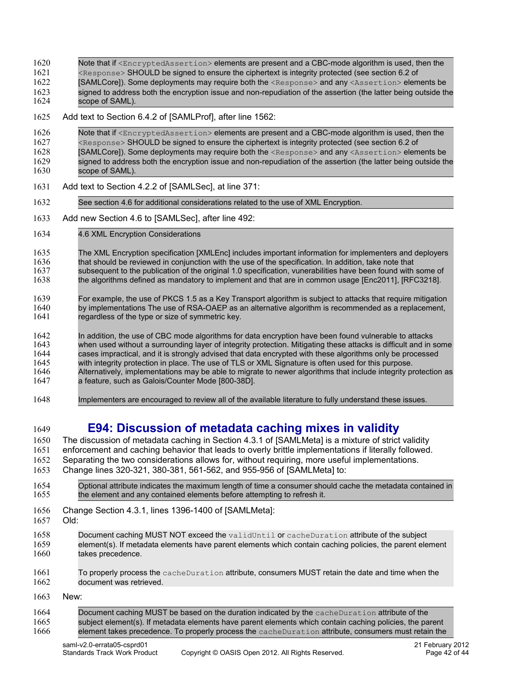Note that if <EncryptedAssertion> elements are present and a CBC-mode algorithm is used, then the 1620

- <Response> SHOULD be signed to ensure the ciphertext is integrity protected (see section 6.2 of 1621
- [\[SAMLCore\]\)](#page-6-2). Some deployments may require both the <Response> and any <Assertion> elements be 1622
- signed to address both the encryption issue and non-repudiation of the assertion (the latter being outside the scope of SAML). 1623 1624
- Add text to Section 6.4.2 of [\[SAMLProf\],](#page-6-5) after line 1562: 1625
- Note that if <EncryptedAssertion> elements are present and a CBC-mode algorithm is used, then the <Response> SHOULD be signed to ensure the ciphertext is integrity protected (see section 6.2 of [\[SAMLCore\]\)](#page-6-2). Some deployments may require both the <Response> and any <Assertion> elements be signed to address both the encryption issue and non-repudiation of the assertion (the latter being outside the scope of SAML). 1626 1627 1628 1629 1630
- Add text to Section 4.2.2 of [\[SAMLSec\],](#page-7-1) at line 371: 1631
- See section 4.6 for additional considerations related to the use of XML Encryption. 1632
- Add new Section 4.6 to [\[SAMLSec\],](#page-7-1) after line 492: 1633
- 4.6 XML Encryption Considerations 1634
- The XML Encryption specification [XMLEnc] includes important information for implementers and deployers that should be reviewed in conjunction with the use of the specification. In addition, take note that subsequent to the publication of the original 1.0 specification, vunerabilities have been found with some of the algorithms defined as mandatory to implement and that are in common usage [\[Enc2011\],](#page-7-3) [\[RFC3218\].](#page-7-5) 1635 1636 1637 1638
- For example, the use of PKCS 1.5 as a Key Transport algorithm is subject to attacks that require mitigation by implementations The use of RSA-OAEP as an alternative algorithm is recommended as a replacement, regardless of the type or size of symmetric key. 1639 1640 1641
- In addition, the use of CBC mode algorithms for data encryption have been found vulnerable to attacks when used without a surrounding layer of integrity protection. Mitigating these attacks is difficult and in some cases impractical, and it is strongly advised that data encrypted with these algorithms only be processed with integrity protection in place. The use of TLS or XML Signature is often used for this purpose. Alternatively, implementations may be able to migrate to newer algorithms that include integrity protection as a feature, such as Galois/Counter Mode [\[800-38D\].](#page-7-4) 1642 1643 1644 1645 1646 1647
- Implementers are encouraged to review all of the available literature to fully understand these issues. 1648
- <span id="page-41-0"></span>**E94: Discussion of metadata caching mixes in validity** 1649
- The discussion of metadata caching in Section 4.3.1 of [\[SAMLMeta\]](#page-6-4) is a mixture of strict validity 1650
- enforcement and caching behavior that leads to overly brittle implementations if literally followed. Separating the two considerations allows for, without requiring, more useful implementations. 1651 1652
- Change lines 320-321, 380-381, 561-562, and 955-956 of [\[SAMLMeta\]](#page-6-4) to: 1653
- Optional attribute indicates the maximum length of time a consumer should cache the metadata contained in the element and any contained elements before attempting to refresh it. 1654 1655
- Change Section 4.3.1, lines 1396-1400 of [\[SAMLMeta\]:](#page-6-4) 1656
- Old: 1657
- Document caching MUST NOT exceed the validUntil or cacheDuration attribute of the subject element(s). If metadata elements have parent elements which contain caching policies, the parent element takes precedence. 1658 1659 1660
- To properly process the cacheDuration attribute, consumers MUST retain the date and time when the document was retrieved. 1661 1662
- New: 1663
- Document caching MUST be based on the duration indicated by the cacheDuration attribute of the subject element(s). If metadata elements have parent elements which contain caching policies, the parent element takes precedence. To properly process the cacheDuration attribute, consumers must retain the 1664 1665 1666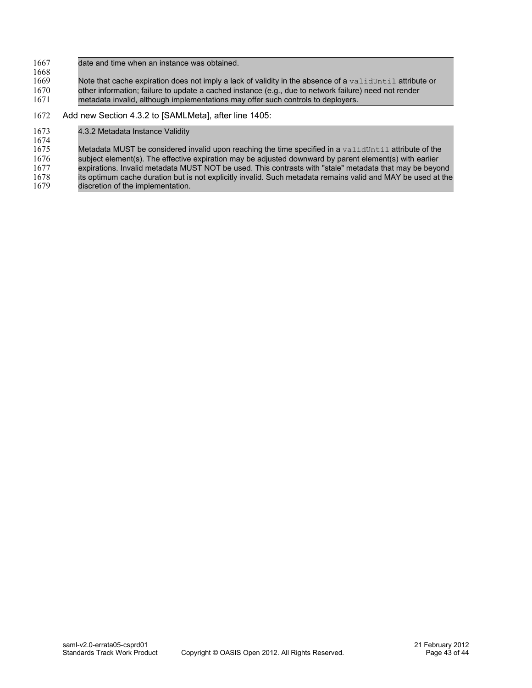- date and time when an instance was obtained. 1667 1668
- Note that cache expiration does not imply a lack of validity in the absence of a validUntil attribute or other information; failure to update a cached instance (e.g., due to network failure) need not render metadata invalid, although implementations may offer such controls to deployers. 1669 1670 1671

#### Add new Section 4.3.2 to [\[SAMLMeta\],](#page-6-4) after line 1405: 1672

#### 4.3.2 Metadata Instance Validity Metadata MUST be considered invalid upon reaching the time specified in a validUntil attribute of the subject element(s). The effective expiration may be adjusted downward by parent element(s) with earlier expirations. Invalid metadata MUST NOT be used. This contrasts with "stale" metadata that may be beyond its optimum cache duration but is not explicitly invalid. Such metadata remains valid and MAY be used at the discretion of the implementation. 1673 1674 1675 1676 1677 1678 1679